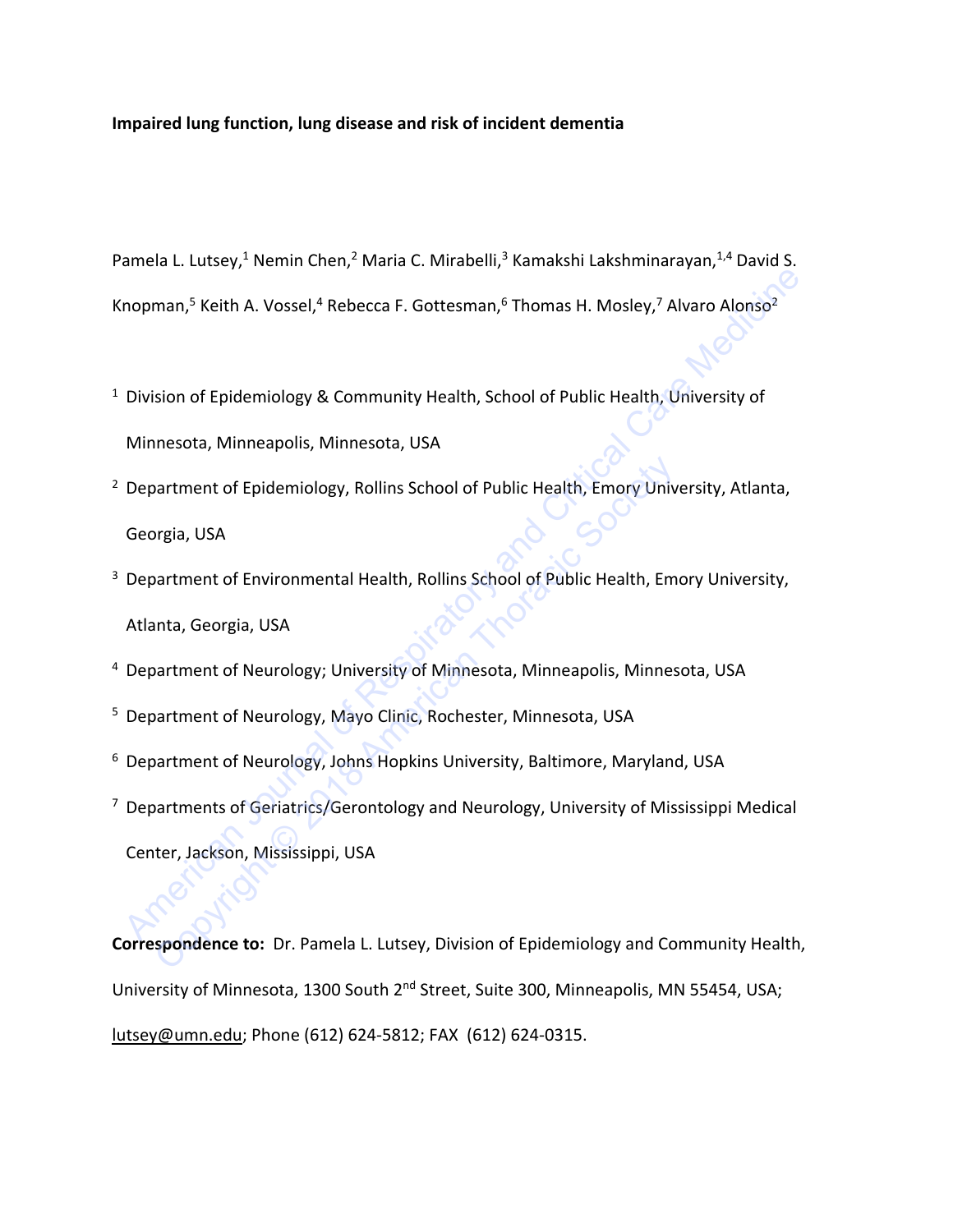# **Impaired lung function, lung disease and risk of incident dementia**

Pamela L. Lutsey,<sup>1</sup> Nemin Chen,<sup>2</sup> Maria C. Mirabelli,<sup>3</sup> Kamakshi Lakshminarayan,<sup>1,4</sup> David S. Knopman,<sup>5</sup> Keith A. Vossel,<sup>4</sup> Rebecca F. Gottesman,<sup>6</sup> Thomas H. Mosley,<sup>7</sup> Alvaro Alonso<sup>2</sup>

- <sup>1</sup> Division of Epidemiology & Community Health, School of Public Health, University of Minnesota, Minneapolis, Minnesota, USA
- <sup>2</sup> Department of Epidemiology, Rollins School of Public Health, Emory University, Atlanta, Georgia, USA
- <sup>3</sup> Department of Environmental Health, Rollins School of Public Health, Emory University, Atlanta, Georgia, USA Inoman,<sup>5</sup> Keith A. Vossel,<sup>4</sup> Rebecca F. Gottesman,<sup>5</sup> Thomas H. Mosley,<sup>7</sup> Alvaro Alonso<sup>2</sup><br>Division of Epidemiology & Community Health, School of Public Health, University of<br>Minnesota, Minneapolis, Minnesota, USA<br>Depar partment of Epidemiology, Rollins School of Public Health, Emory Univ<br>Preja, USA<br>Partment of Environmental Health, Rollins School of Public Health, Em<br>Inta, Georgia, USA<br>Partment of Neurology; University of Minnesota, Minn
- 4 Department of Neurology; University of Minnesota, Minneapolis, Minnesota, USA
- 5 Department of Neurology, Mayo Clinic, Rochester, Minnesota, USA
- <sup>6</sup> Department of Neurology, Johns Hopkins University, Baltimore, Maryland, USA
- 7 Departments of Geriatrics/Gerontology and Neurology, University of Mississippi Medical Center, Jackson, Mississippi, USA

**Correspondence to:** Dr. Pamela L. Lutsey, Division of Epidemiology and Community Health, University of Minnesota, 1300 South 2<sup>nd</sup> Street, Suite 300, Minneapolis, MN 55454, USA; [lutsey@umn.edu;](mailto:lutsey@umn.edu) Phone (612) 624-5812; FAX (612) 624-0315.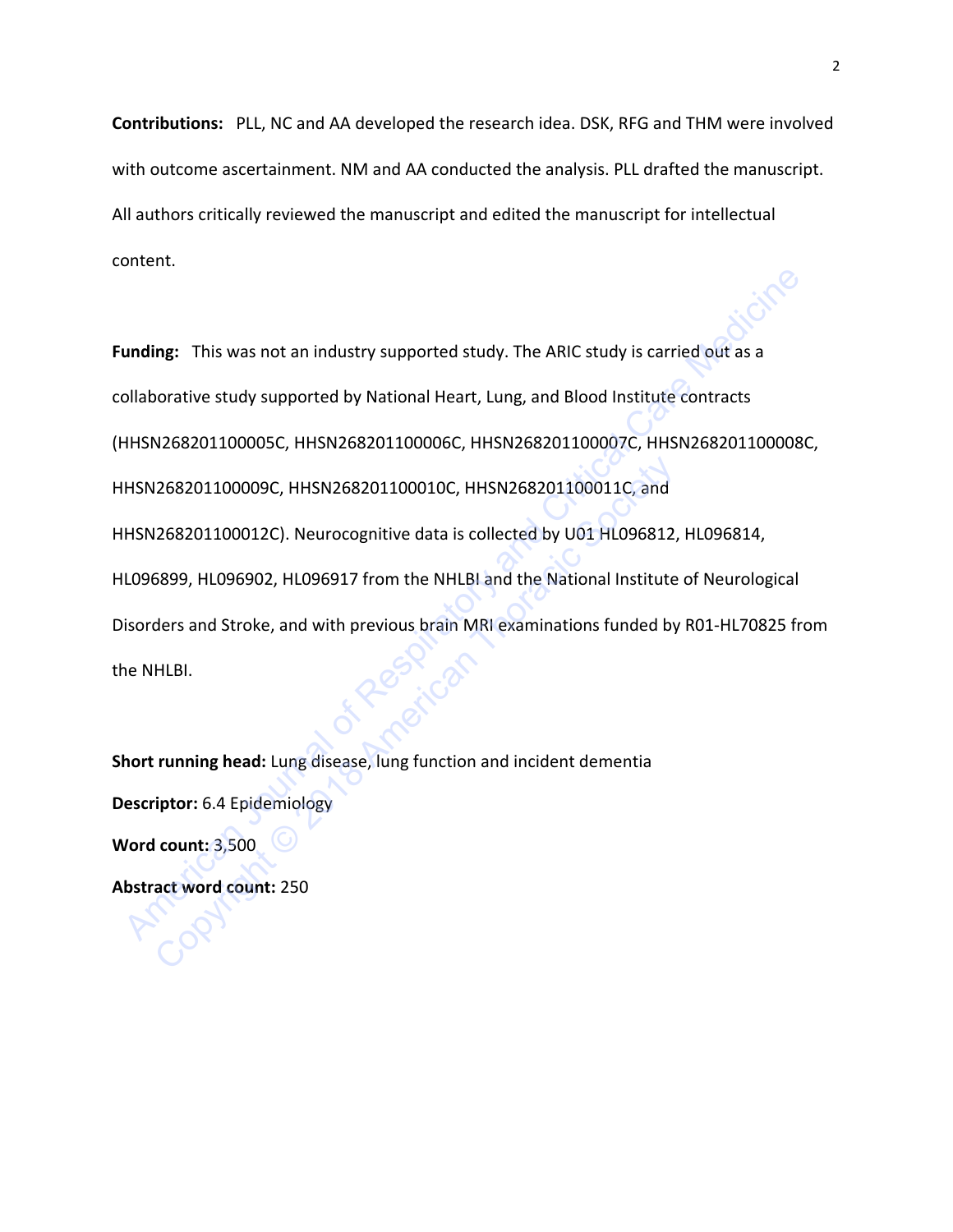**Contributions:** PLL, NC and AA developed the research idea. DSK, RFG and THM were involved with outcome ascertainment. NM and AA conducted the analysis. PLL drafted the manuscript. All authors critically reviewed the manuscript and edited the manuscript for intellectual content.

**Funding:** This was not an industry supported study. The ARIC study is carried out as a collaborative study supported by National Heart, Lung, and Blood Institute contracts (HHSN268201100005C, HHSN268201100006C, HHSN268201100007C, HHSN268201100008C, HHSN268201100009C, HHSN268201100010C, HHSN268201100011C, and HHSN268201100012C). Neurocognitive data is collected by U01 HL096812, HL096814, HL096899, HL096902, HL096917 from the NHLBI and the National Institute of Neurological Disorders and Stroke, and with previous brain MRI examinations funded by R01-HL70825 from the NHLBI. unding: This was not an industry supported study. The ARIC study is carried out as a<br>Filshorative study supported by National Heart, Lung, and Blood Institute contracts<br>HHSN268201100005C, HHSN268201100006C, HHSN26820110000 1268201100009C, HHSN268201100010C, HHSN268201100011C, and<br>1268201100012C). Neurocognitive data is collected by U01 HL096812,<br>5899, HL096902, HL096917 from the NHLBI and the National Institute<br>ders and Stroke, and with prev

**Short running head:** Lung disease, lung function and incident dementia **Descriptor:** 6.4 Epidemiology **Word count:** 3,500 **Abstract word count:** 250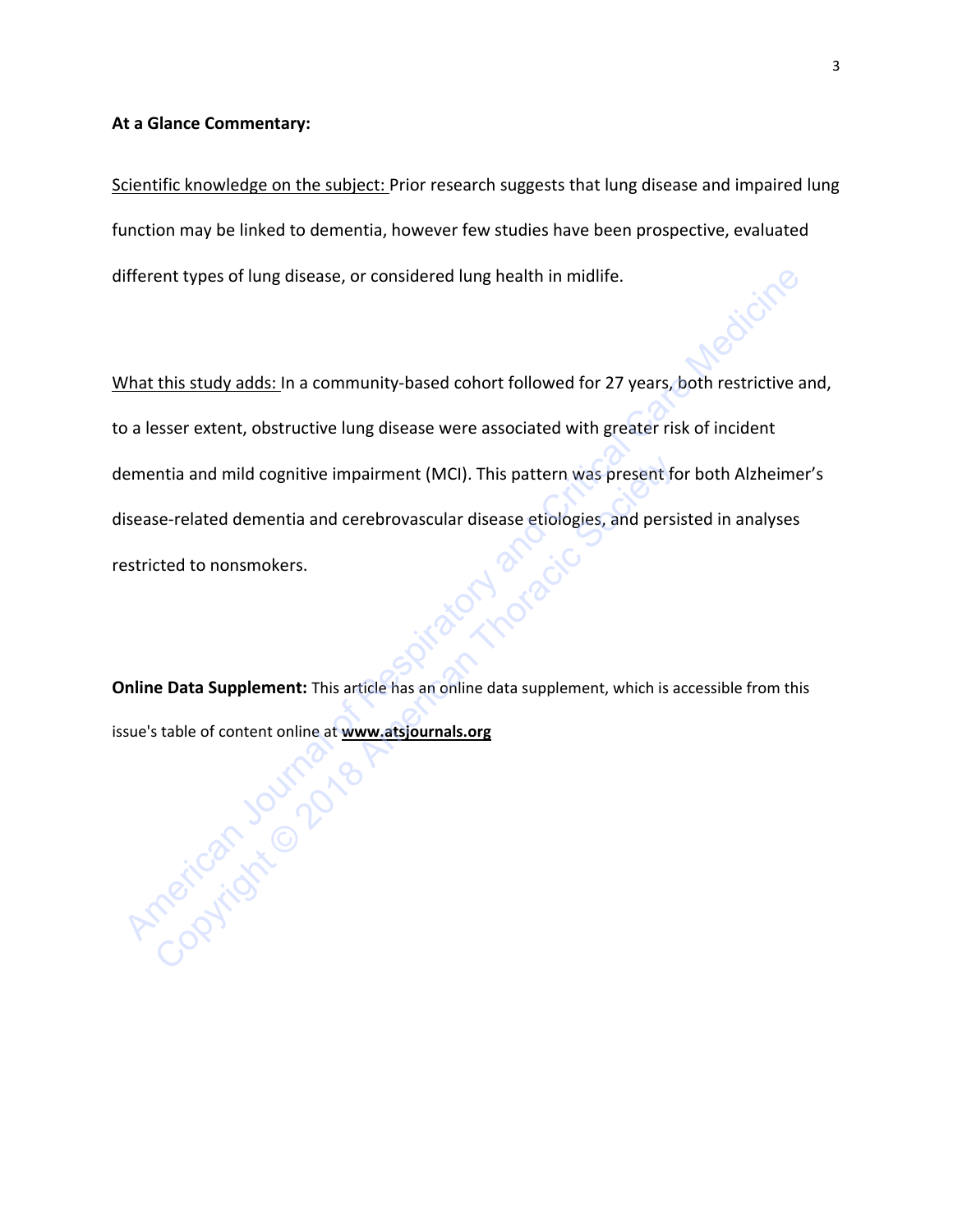# **At a Glance Commentary:**

Scientific knowledge on the subject: Prior research suggests that lung disease and impaired lung function may be linked to dementia, however few studies have been prospective, evaluated different types of lung disease, or considered lung health in midlife.

What this study adds: In a community-based cohort followed for 27 years, both restrictive and, to a lesser extent, obstructive lung disease were associated with greater risk of incident dementia and mild cognitive impairment (MCI). This pattern was present for both Alzheimer's disease-related dementia and cerebrovascular disease etiologies, and persisted in analyses restricted to nonsmokers. ifferent types [of](https://www.atsjournals.org/page/ajrccm/www.atsjournals.org) lung disease, or considered lung health in midlife.<br>
What this study adds: In a community-based cohort followed for 27 years, both restrictive are a lesser extent, obstructive lung disease were associated expected dementia and mild cognitive impairment (MCI). This pattern was present for<br>exercited dementia and cerebrovascular disease etiologies, and persicle<br>ted to nonsmokers.<br><br>**Examplement:** This article has an online data

**Online Data Supplement:** This article has an online data supplement, which is accessible from this issue's table of content online at **www.atsjournals.org**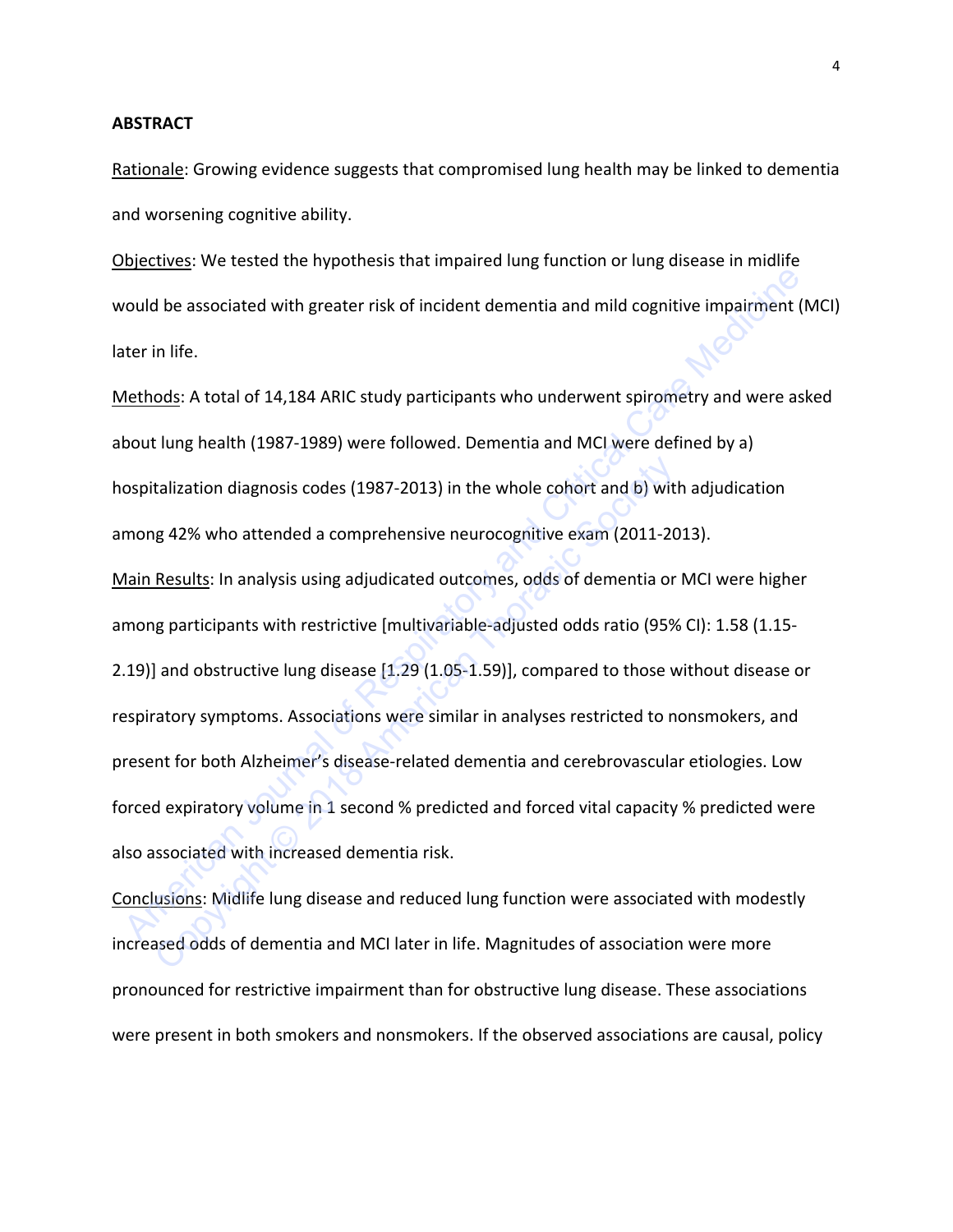#### **ABSTRACT**

Rationale: Growing evidence suggests that compromised lung health may be linked to dementia and worsening cognitive ability.

Objectives: We tested the hypothesis that impaired lung function or lung disease in midlife would be associated with greater risk of incident dementia and mild cognitive impairment (MCI) later in life.

Methods: A total of 14,184 ARIC study participants who underwent spirometry and were asked about lung health (1987-1989) were followed. Dementia and MCI were defined by a) hospitalization diagnosis codes (1987-2013) in the whole cohort and b) with adjudication among 42% who attended a comprehensive neurocognitive exam (2011-2013). Main Results: In analysis using adjudicated outcomes, odds of dementia or MCI were higher among participants with restrictive [multivariable-adjusted odds ratio (95% CI): 1.58 (1.15- 2.19)] and obstructive lung disease [1.29 (1.05-1.59)], compared to those without disease or respiratory symptoms. Associations were similar in analyses restricted to nonsmokers, and present for both Alzheimer's disease-related dementia and cerebrovascular etiologies. Low forced expiratory volume in 1 second % predicted and forced vital capacity % predicted were also associated with increased dementia risk. or the associated with greater risk of incident dementia and mild cognitive impairment (N<br>
Nethods: A total of 14,184 ARIC study participants who underwent spirometry and were ask<br>
bout lung health (1987-1989) were followe talization diagnosis codes (1987-2013) in the whole cohort and b) wit<br>g 42% who attended a comprehensive neurocognitive exam (2011-20<br><u>Results</u>: In analysis using adjudicated outcomes, odds of dementia or<br>g participants wi

Conclusions: Midlife lung disease and reduced lung function were associated with modestly increased odds of dementia and MCI later in life. Magnitudes of association were more pronounced for restrictive impairment than for obstructive lung disease. These associations were present in both smokers and nonsmokers. If the observed associations are causal, policy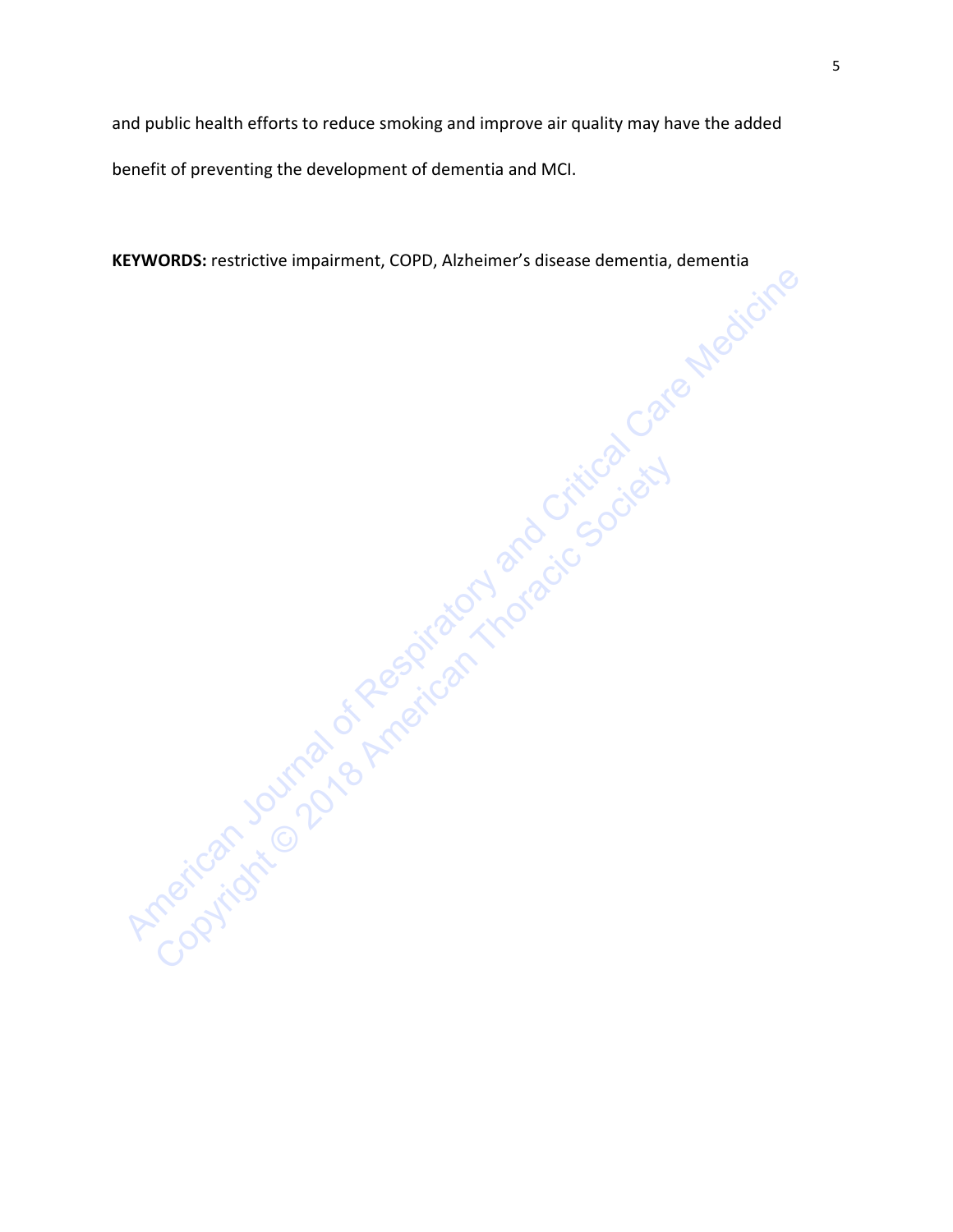and public health efforts to reduce smoking and improve air quality may have the added benefit of preventing the development of dementia and MCI.

**KEYWORDS:** restrictive impairment, COPD, Alzheimer's disease dementia, dementia

American Journal of American Indian and Critical Care Medicine Copyright Society of the Society and American Thoracic Society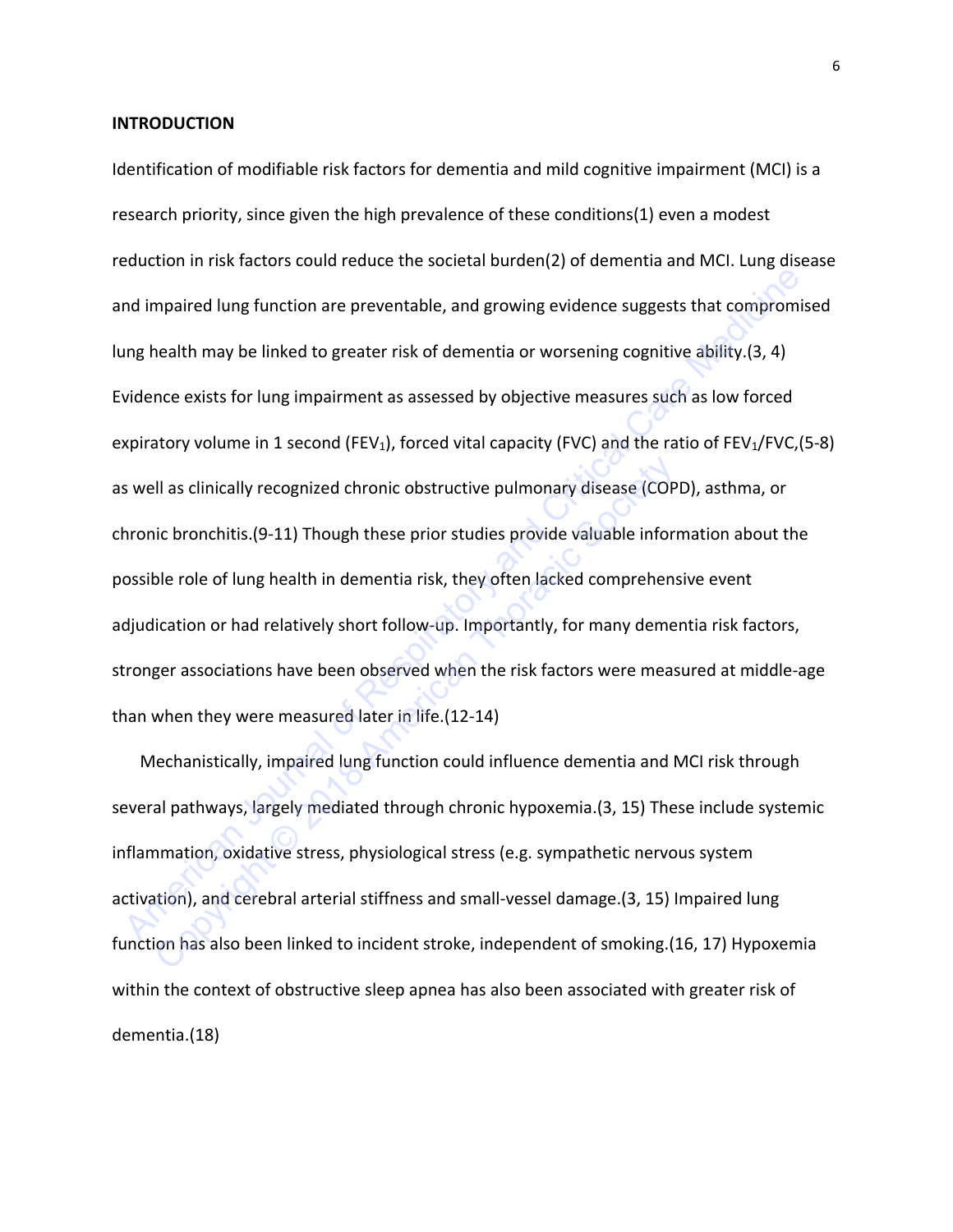#### **INTRODUCTION**

Identification of modifiable risk factors for dementia and mild cognitive impairment (MCI) is a research priority, since given the high prevalence of these conditions(1) even a modest reduction in risk factors could reduce the societal burden(2) of dementia and MCI. Lung disease and impaired lung function are preventable, and growing evidence suggests that compromised lung health may be linked to greater risk of dementia or worsening cognitive ability.(3, 4) Evidence exists for lung impairment as assessed by objective measures such as low forced expiratory volume in 1 second (FEV<sub>1</sub>), forced vital capacity (FVC) and the ratio of FEV<sub>1</sub>/FVC, (5-8) as well as clinically recognized chronic obstructive pulmonary disease (COPD), asthma, or chronic bronchitis.(9-11) Though these prior studies provide valuable information about the possible role of lung health in dementia risk, they often lacked comprehensive event adjudication or had relatively short follow-up. Importantly, for many dementia risk factors, stronger associations have been observed when the risk factors were measured at middle-age than when they were measured later in life.(12-14) nd impaired lung function are preventable, and growing evidence suggests that compromis<br>
Impable the may be linked to greater risk of dementia or worsening cognitive ability.(3, 4)<br>
vidence exists for lung impairment as as Il as clinically recognized chronic obstructive pulmonary disease (COP<br>iic bronchitis.(9-11) Though these prior studies provide valuable inform<br>ble role of lung health in dementia risk, they often lacked comprehen:<br>licatio

Mechanistically, impaired lung function could influence dementia and MCI risk through several pathways, largely mediated through chronic hypoxemia.(3, 15) These include systemic inflammation, oxidative stress, physiological stress (e.g. sympathetic nervous system activation), and cerebral arterial stiffness and small-vessel damage.(3, 15) Impaired lung function has also been linked to incident stroke, independent of smoking.(16, 17) Hypoxemia within the context of obstructive sleep apnea has also been associated with greater risk of dementia.(18)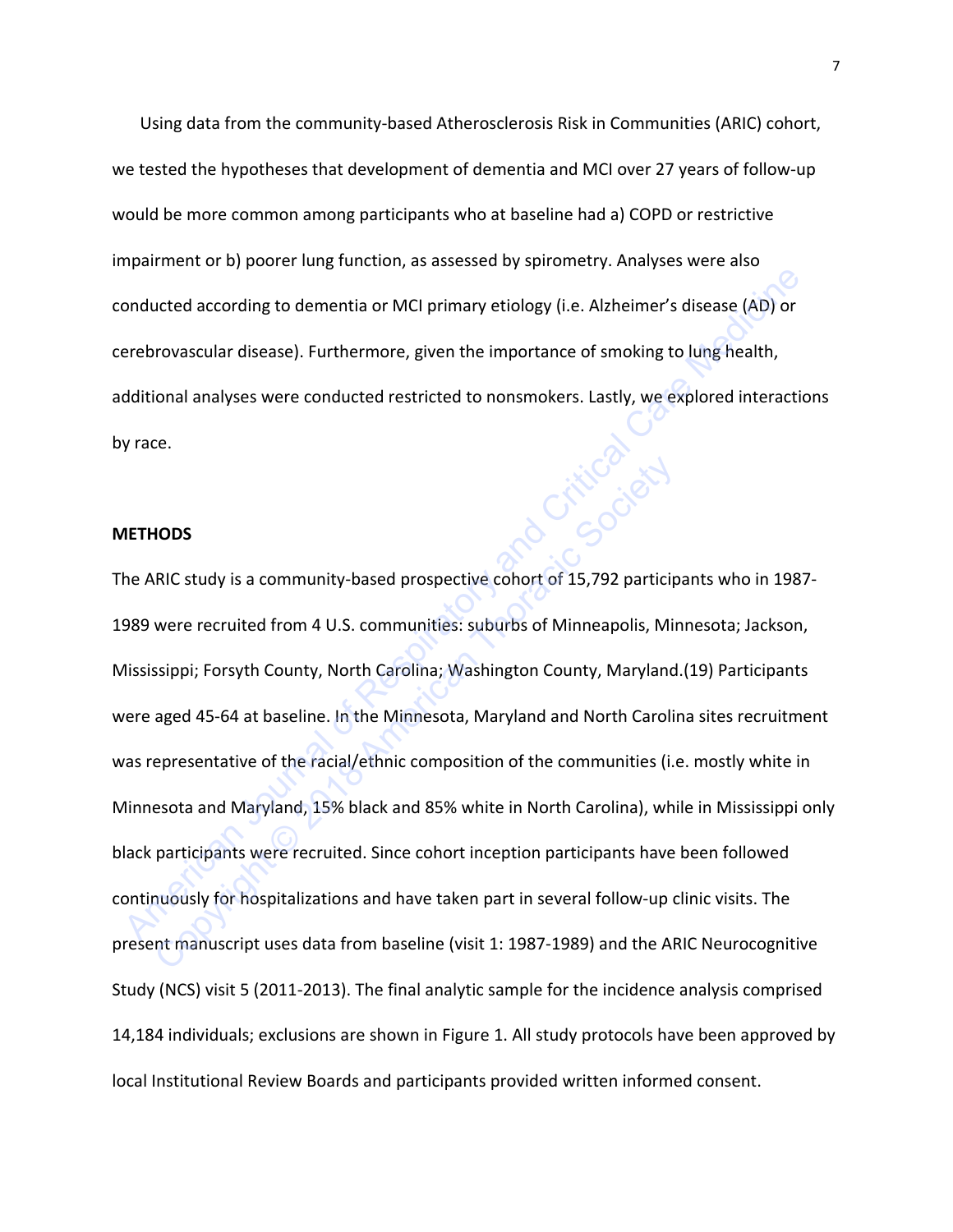Using data from the community-based Atherosclerosis Risk in Communities (ARIC) cohort, we tested the hypotheses that development of dementia and MCI over 27 years of follow-up would be more common among participants who at baseline had a) COPD or restrictive impairment or b) poorer lung function, as assessed by spirometry. Analyses were also conducted according to dementia or MCI primary etiology (i.e. Alzheimer's disease (AD) or cerebrovascular disease). Furthermore, given the importance of smoking to lung health, additional analyses were conducted restricted to nonsmokers. Lastly, we explored interactions by race.

## **METHODS**

The ARIC study is a community-based prospective cohort of 15,792 participants who in 1987- 1989 were recruited from 4 U.S. communities: suburbs of Minneapolis, Minnesota; Jackson, Mississippi; Forsyth County, North Carolina; Washington County, Maryland.(19) Participants were aged 45-64 at baseline. In the Minnesota, Maryland and North Carolina sites recruitment was representative of the racial/ethnic composition of the communities (i.e. mostly white in Minnesota and Maryland, 15% black and 85% white in North Carolina), while in Mississippi only black participants were recruited. Since cohort inception participants have been followed continuously for hospitalizations and have taken part in several follow-up clinic visits. The present manuscript uses data from baseline (visit 1: 1987-1989) and the ARIC Neurocognitive Study (NCS) visit 5 (2011-2013). The final analytic sample for the incidence analysis comprised 14,184 individuals; exclusions are shown in Figure 1. All study protocols have been approved by local Institutional Review Boards and participants provided written informed consent. EXERCT THOUSE THE METHOLOGY CONDUCTED THE NUTRIC VIOLETIES AND DRIVING THE NUTRICIAL ORDENSIGNTIFIES AND ANTION<br>
SURFERINGURAL AMELY SURFERING TO UNIFIDENTIFIES AND ARRIC STUDY IS USENT A DRIVING THE METHODS<br>
AND STRUCT CA FRIC study is a community-based prospective cohort of 15,792 participate exerce recruited from 4 U.S. communities: suburbs of Minneapolis, Minoripation County, Thoracic Society County, North Carolina; Washington County, Ma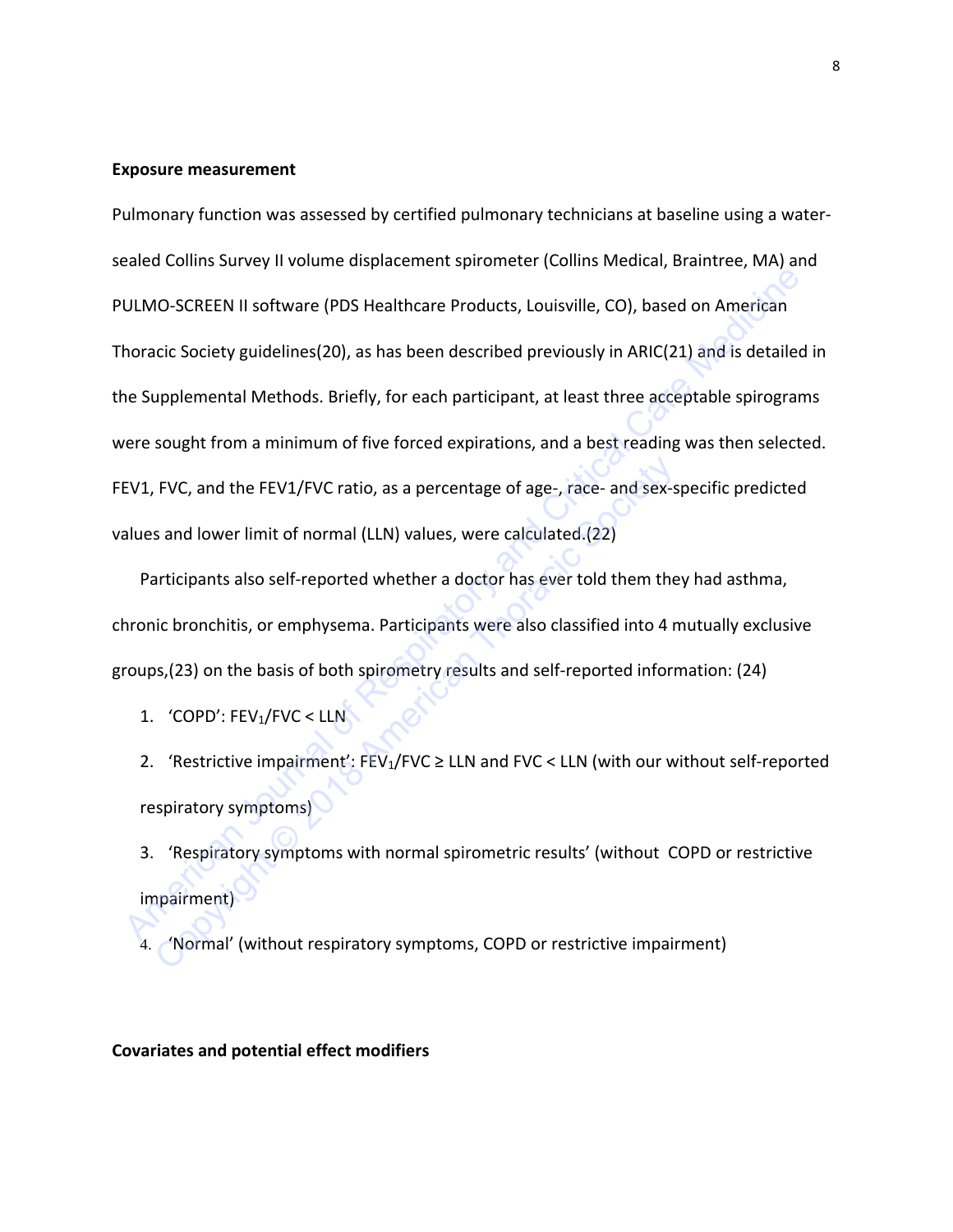#### **Exposure measurement**

Pulmonary function was assessed by certified pulmonary technicians at baseline using a watersealed Collins Survey II volume displacement spirometer (Collins Medical, Braintree, MA) and PULMO-SCREEN II software (PDS Healthcare Products, Louisville, CO), based on American Thoracic Society guidelines(20), as has been described previously in ARIC(21) and is detailed in the Supplemental Methods. Briefly, for each participant, at least three acceptable spirograms were sought from a minimum of five forced expirations, and a best reading was then selected. FEV1, FVC, and the FEV1/FVC ratio, as a percentage of age-, race- and sex-specific predicted values and lower limit of normal (LLN) values, were calculated.(22) ULMO-SCREEN II software (PDS Healthcare Products, Louisville, CO), based on American<br>
horacic Society guidelines(20), as has been described previously in ARIC(21) and is detailed<br>
ne Supplemental Methods. Briefly, for each

Participants also self-reported whether a doctor has ever told them they had asthma, chronic bronchitis, or emphysema. Participants were also classified into 4 mutually exclusive groups,(23) on the basis of both spirometry results and self-reported information: (24) FVC, and the FEV1/FVC ratio, as a percentage of age-, race- and sex-s<br>
s and lower limit of normal (LLN) values, were calculated.(22)<br>
articipants also self-reported whether a doctor has ever told them the<br>
ic bronchitis,

1. 'COPD': FEV<sub>1</sub>/FVC < LLN

2. 'Restrictive impairment': FEV<sub>1</sub>/FVC  $\geq$  LLN and FVC < LLN (with our without self-reported respiratory symptoms)

3. 'Respiratory symptoms with normal spirometric results' (without COPD or restrictive impairment)

4. 'Normal' (without respiratory symptoms, COPD or restrictive impairment)

**Covariates and potential effect modifiers**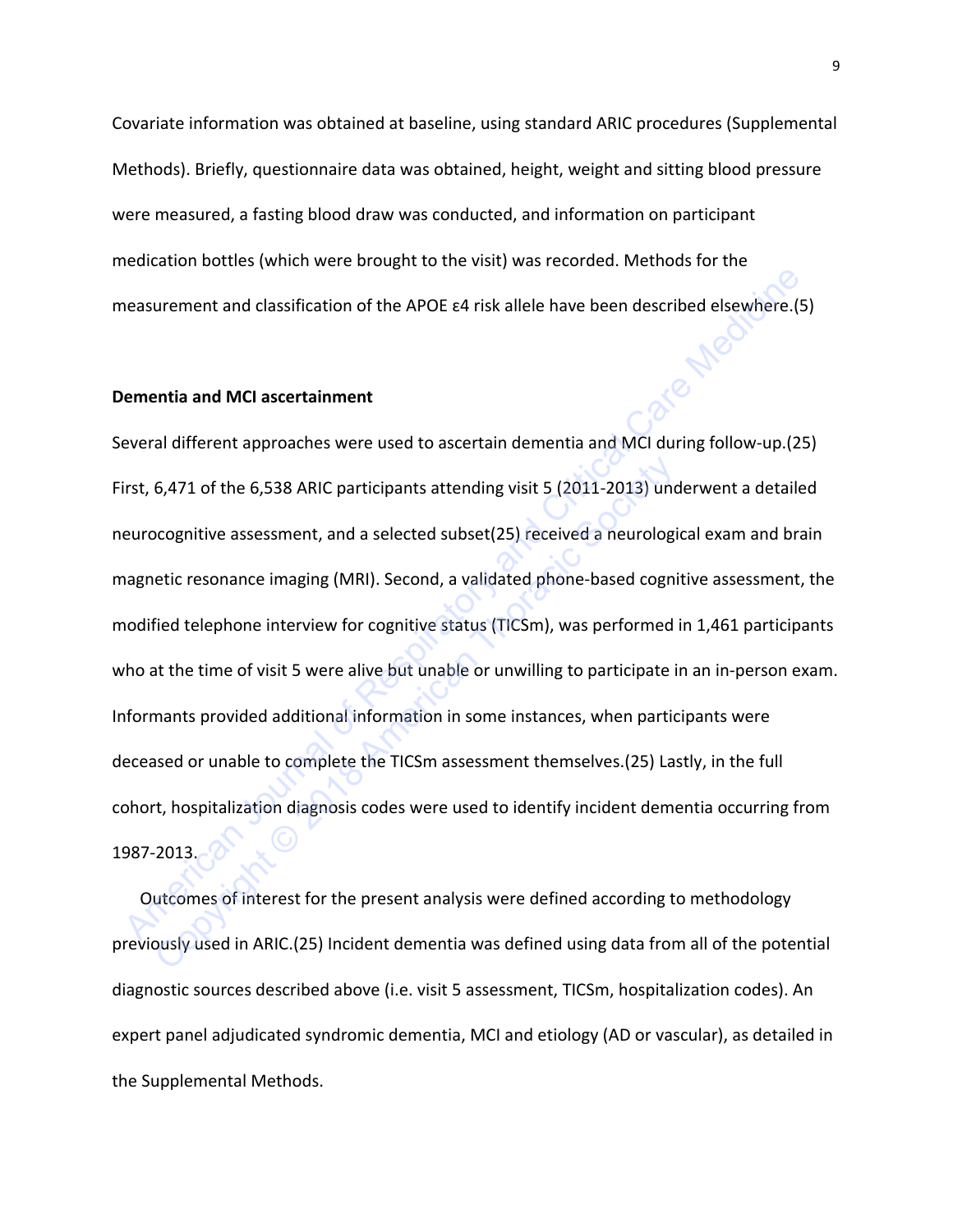Covariate information was obtained at baseline, using standard ARIC procedures (Supplemental Methods). Briefly, questionnaire data was obtained, height, weight and sitting blood pressure were measured, a fasting blood draw was conducted, and information on participant medication bottles (which were brought to the visit) was recorded. Methods for the measurement and classification of the APOE ɛ4 risk allele have been described elsewhere.(5)

### **Dementia and MCI ascertainment**

Several different approaches were used to ascertain dementia and MCI during follow-up.(25) First, 6,471 of the 6,538 ARIC participants attending visit 5 (2011-2013) underwent a detailed neurocognitive assessment, and a selected subset(25) received a neurological exam and brain magnetic resonance imaging (MRI). Second, a validated phone-based cognitive assessment, the modified telephone interview for cognitive status (TICSm), was performed in 1,461 participants who at the time of visit 5 were alive but unable or unwilling to participate in an in-person exam. Informants provided additional information in some instances, when participants were deceased or unable to complete the TICSm assessment themselves.(25) Lastly, in the full cohort, hospitalization diagnosis codes were used to identify incident dementia occurring from 1987-2013. Resumement and classification of the APOE e4 risk allele have been described elsewhere.(5)<br> **Exercised and MCI ascertainment**<br>
Exercised different approaches were used to ascertain dementia and MCI during follow-up.(25<br>
Fi 6,471 of the 6,538 ARIC participants attending visit 5 (2011-2013) uno<br>ocognitive assessment, and a selected subset(25) received a neurologi<br>etic resonance imaging (MRI). Second, a validated phone-based cogni<br>fied telephon

Outcomes of interest for the present analysis were defined according to methodology previously used in ARIC.(25) Incident dementia was defined using data from all of the potential diagnostic sources described above (i.e. visit 5 assessment, TICSm, hospitalization codes). An expert panel adjudicated syndromic dementia, MCI and etiology (AD or vascular), as detailed in the Supplemental Methods.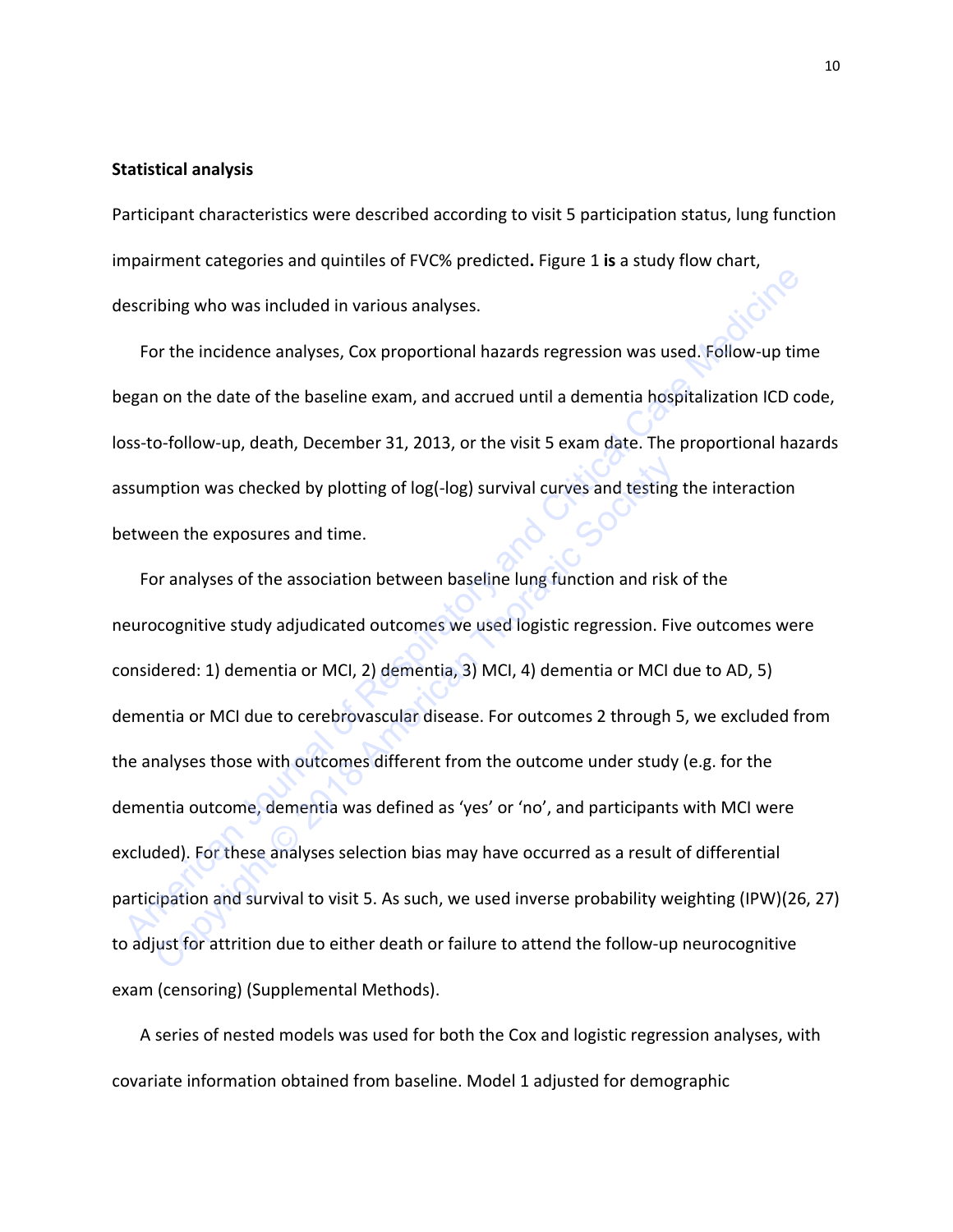#### **Statistical analysis**

Participant characteristics were described according to visit 5 participation status, lung function impairment categories and quintiles of FVC% predicted**.** Figure 1 **is** a study flow chart, describing who was included in various analyses.

For the incidence analyses, Cox proportional hazards regression was used. Follow-up time began on the date of the baseline exam, and accrued until a dementia hospitalization ICD code, loss-to-follow-up, death, December 31, 2013, or the visit 5 exam date. The proportional hazards assumption was checked by plotting of log(-log) survival curves and testing the interaction between the exposures and time.

For analyses of the association between baseline lung function and risk of the neurocognitive study adjudicated outcomes we used logistic regression. Five outcomes were considered: 1) dementia or MCI, 2) dementia, 3) MCI, 4) dementia or MCI due to AD, 5) dementia or MCI due to cerebrovascular disease. For outcomes 2 through 5, we excluded from the analyses those with outcomes different from the outcome under study (e.g. for the dementia outcome, dementia was defined as 'yes' or 'no', and participants with MCI were excluded). For these analyses selection bias may have occurred as a result of differential participation and survival to visit 5. As such, we used inverse probability weighting (IPW)(26, 27) to adjust for attrition due to either death or failure to attend the follow-up neurocognitive exam (censoring) (Supplemental Methods). excribing who was included in various analyses.<br>
For the incidence analyses, Cox proportional hazards regression was used. Follow-up time<br>
egan on the date of the baseline exam, and accrued until a dementia hospitalization mption was checked by plotting of log(-log) survival curves and testing<br>een the exposures and time.<br>Or analyses of the association between baseline lung function and risk<br>ocognitive study adjudicated outcomes we used logis

A series of nested models was used for both the Cox and logistic regression analyses, with covariate information obtained from baseline. Model 1 adjusted for demographic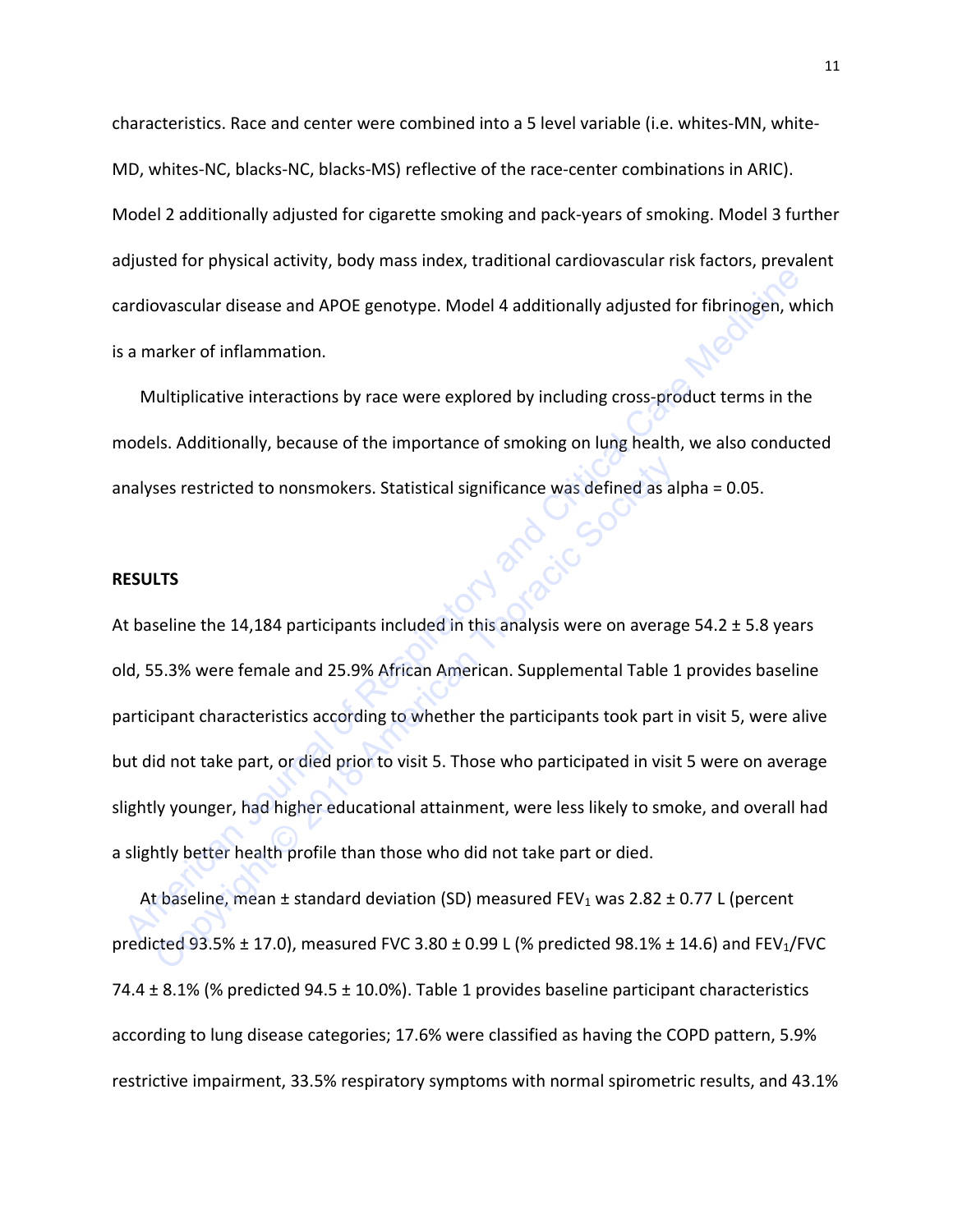characteristics. Race and center were combined into a 5 level variable (i.e. whites-MN, white-MD, whites-NC, blacks-NC, blacks-MS) reflective of the race-center combinations in ARIC). Model 2 additionally adjusted for cigarette smoking and pack-years of smoking. Model 3 further adjusted for physical activity, body mass index, traditional cardiovascular risk factors, prevalent cardiovascular disease and APOE genotype. Model 4 additionally adjusted for fibrinogen, which is a marker of inflammation.

Multiplicative interactions by race were explored by including cross-product terms in the models. Additionally, because of the importance of smoking on lung health, we also conducted analyses restricted to nonsmokers. Statistical significance was defined as alpha = 0.05.

#### **RESULTS**

At baseline the 14,184 participants included in this analysis were on average 54.2 ± 5.8 years old, 55.3% were female and 25.9% African American. Supplemental Table 1 provides baseline participant characteristics according to whether the participants took part in visit 5, were alive but did not take part, or died prior to visit 5. Those who participated in visit 5 were on average slightly younger, had higher educational attainment, were less likely to smoke, and overall had a slightly better health profile than those who did not take part or died. ardiovascular disease and APOE genotype. Model 4 additionally adjusted for fibrinogen, wh<br>a marker of inflammation.<br>Multiplicative interactions by race were explored by including cross-product terms in the<br>nodels. Additio ses restricted to nonsmokers. Statistical significance was defined as al<br> **LTS**<br>
Seline the 14,184 participants included in this analysis were on averag<br>
5.3% were female and 25.9% African American. Supplemental Table 1<br>

At baseline, mean  $\pm$  standard deviation (SD) measured FEV<sub>1</sub> was 2.82  $\pm$  0.77 L (percent predicted 93.5%  $\pm$  17.0), measured FVC 3.80  $\pm$  0.99 L (% predicted 98.1%  $\pm$  14.6) and FEV<sub>1</sub>/FVC 74.4  $\pm$  8.1% (% predicted 94.5  $\pm$  10.0%). Table 1 provides baseline participant characteristics according to lung disease categories; 17.6% were classified as having the COPD pattern, 5.9% restrictive impairment, 33.5% respiratory symptoms with normal spirometric results, and 43.1%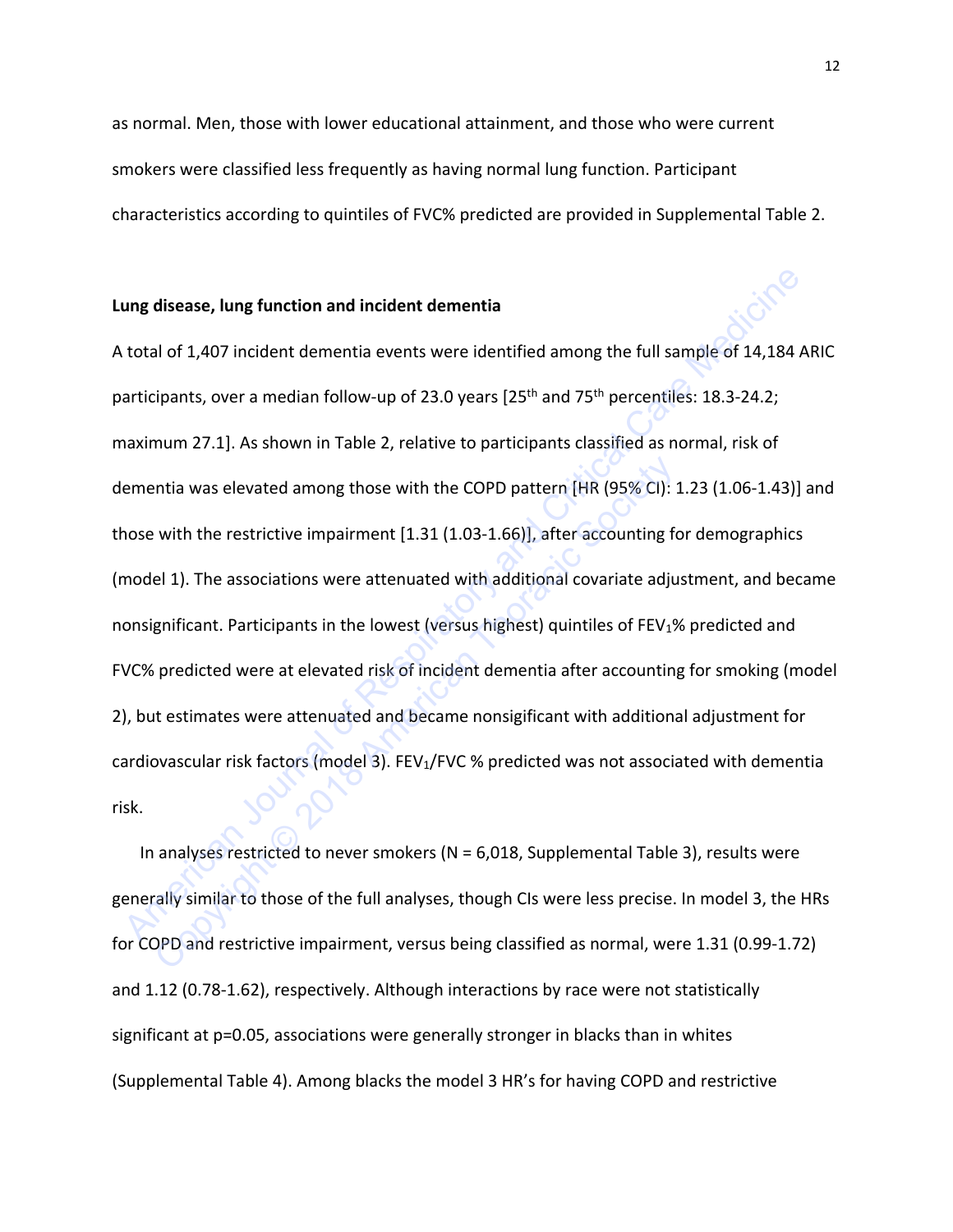as normal. Men, those with lower educational attainment, and those who were current smokers were classified less frequently as having normal lung function. Participant characteristics according to quintiles of FVC% predicted are provided in Supplemental Table 2.

## **Lung disease, lung function and incident dementia**

A total of 1,407 incident dementia events were identified among the full sample of 14,184 ARIC participants, over a median follow-up of 23.0 years  $[25<sup>th</sup>$  and 75<sup>th</sup> percentiles: 18.3-24.2; maximum 27.1]. As shown in Table 2, relative to participants classified as normal, risk of dementia was elevated among those with the COPD pattern [HR (95% CI): 1.23 (1.06-1.43)] and those with the restrictive impairment [1.31 (1.03-1.66)], after accounting for demographics (model 1). The associations were attenuated with additional covariate adjustment, and became nonsignificant. Participants in the lowest (versus highest) quintiles of FEV<sub>1</sub>% predicted and FVC% predicted were at elevated risk of incident dementia after accounting for smoking (model 2), but estimates were attenuated and became nonsigificant with additional adjustment for cardiovascular risk factors (model 3). FEV<sub>1</sub>/FVC % predicted was not associated with dementia risk. **ung disease, lung function and incident dementia**<br>
total of 1,407 incident dementia events were identified among the full sample of 14,184 Al<br>
articipants, over a median follow-up of 23.0 years [25<sup>th</sup> and 75<sup>th</sup> percent entia was elevated among those with the COPD pattern [HR (95% CI):<br>
with the restrictive impairment [1.31 (1.03-1.66)], after accounting for<br>
el 1). The associations were attenuated with additional covariate adju<br>
gnifica

In analyses restricted to never smokers ( $N = 6.018$ , Supplemental Table 3), results were generally similar to those of the full analyses, though CIs were less precise. In model 3, the HRs for COPD and restrictive impairment, versus being classified as normal, were 1.31 (0.99-1.72) and 1.12 (0.78-1.62), respectively. Although interactions by race were not statistically significant at p=0.05, associations were generally stronger in blacks than in whites (Supplemental Table 4). Among blacks the model 3 HR's for having COPD and restrictive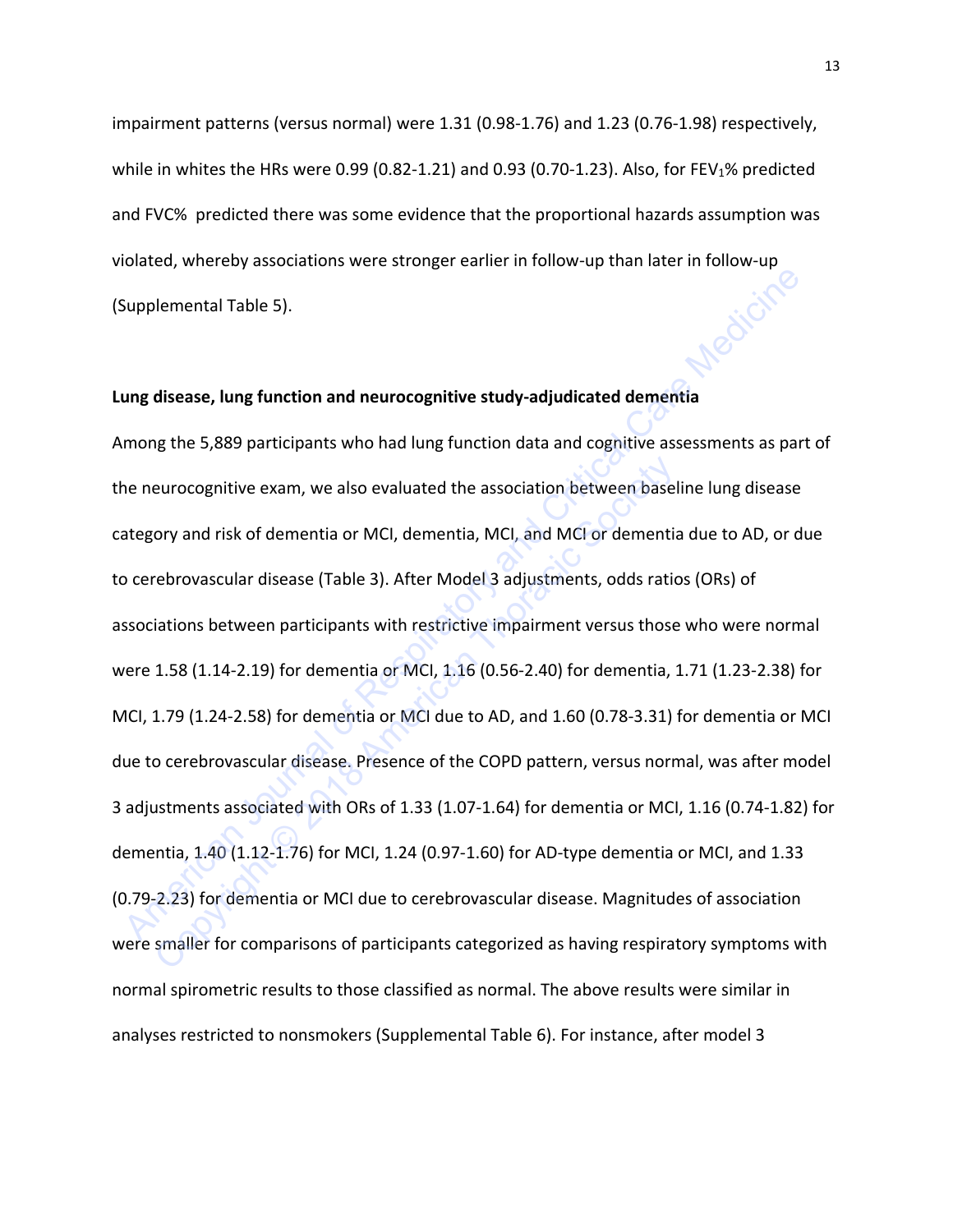impairment patterns (versus normal) were 1.31 (0.98-1.76) and 1.23 (0.76-1.98) respectively, while in whites the HRs were 0.99 (0.82-1.21) and 0.93 (0.70-1.23). Also, for FEV<sub>1</sub>% predicted and FVC% predicted there was some evidence that the proportional hazards assumption was violated, whereby associations were stronger earlier in follow-up than later in follow-up<br>(Supplemental Table 5). (Supplemental Table 5).

### **Lung disease, lung function and neurocognitive study-adjudicated dementia**

Among the 5,889 participants who had lung function data and cognitive assessments as part of the neurocognitive exam, we also evaluated the association between baseline lung disease category and risk of dementia or MCI, dementia, MCI, and MCI or dementia due to AD, or due to cerebrovascular disease (Table 3). After Model 3 adjustments, odds ratios (ORs) of associations between participants with restrictive impairment versus those who were normal were 1.58 (1.14-2.19) for dementia or MCI, 1.16 (0.56-2.40) for dementia, 1.71 (1.23-2.38) for MCI, 1.79 (1.24-2.58) for dementia or MCI due to AD, and 1.60 (0.78-3.31) for dementia or MCI due to cerebrovascular disease. Presence of the COPD pattern, versus normal, was after model 3 adjustments associated with ORs of 1.33 (1.07-1.64) for dementia or MCI, 1.16 (0.74-1.82) for dementia, 1.40 (1.12-1.76) for MCI, 1.24 (0.97-1.60) for AD-type dementia or MCI, and 1.33 (0.79-2.23) for dementia or MCI due to cerebrovascular disease. Magnitudes of association were smaller for comparisons of participants categorized as having respiratory symptoms with normal spirometric results to those classified as normal. The above results were similar in analyses restricted to nonsmokers (Supplemental Table 6). For instance, after model 3 Supplemental Table 5).<br> **American Table 5** and the the computive study-adjudicated dementia<br>
mong the 5,889 participants who had lung function data and cognitive assessments as part<br>
ne neurocognitive exam, we also evalua eurocognitive exam, we also evaluated the association between basel<br>ory and risk of dementia or MCI, dementia, MCI, and MCI or dementia<br>rebrovascular disease (Table 3). After Model 3 adjustments, odds ratio<br>iations between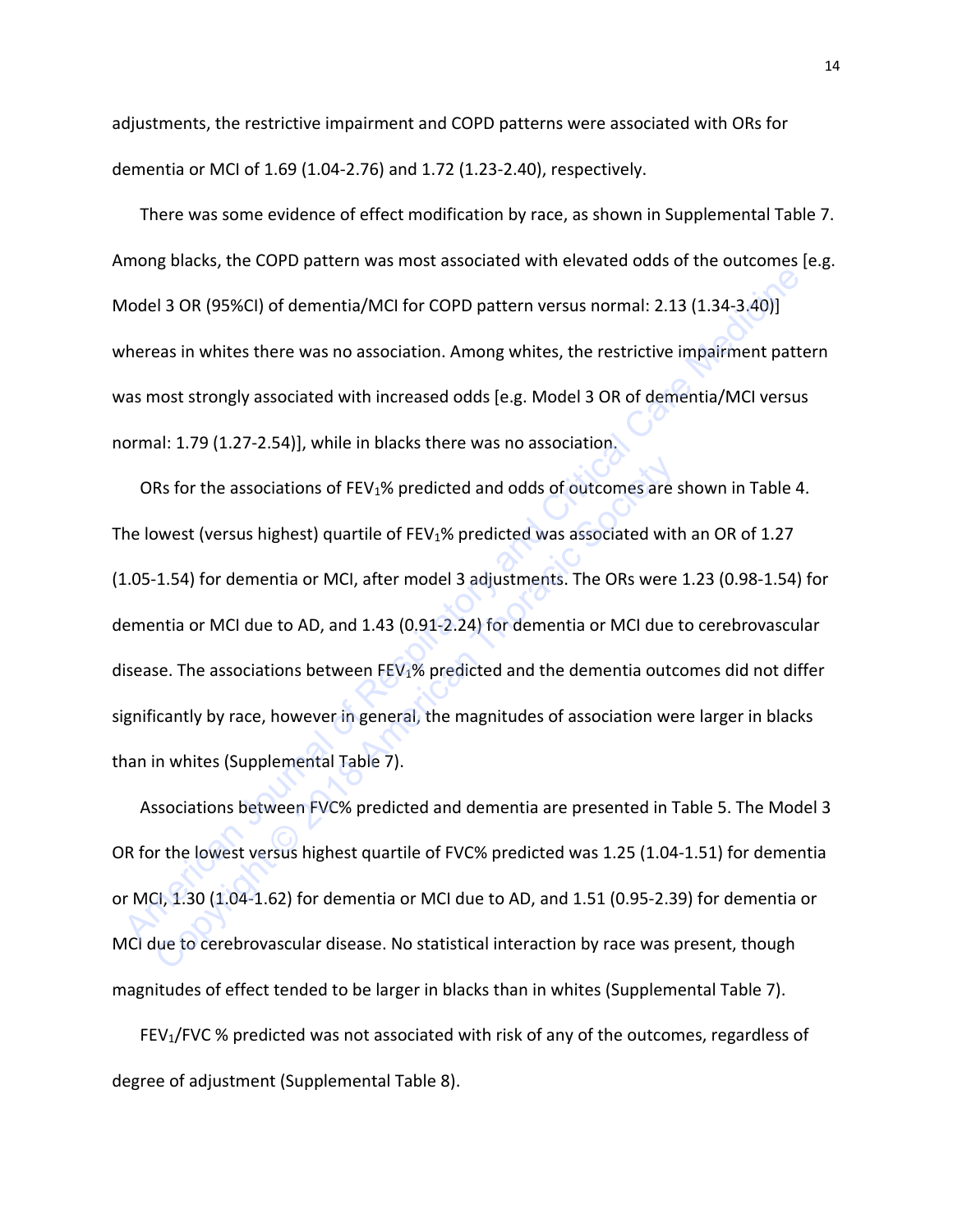adjustments, the restrictive impairment and COPD patterns were associated with ORs for dementia or MCI of 1.69 (1.04-2.76) and 1.72 (1.23-2.40), respectively.

There was some evidence of effect modification by race, as shown in Supplemental Table 7. Among blacks, the COPD pattern was most associated with elevated odds of the outcomes [e.g. Model 3 OR (95%CI) of dementia/MCI for COPD pattern versus normal: 2.13 (1.34-3.40)] whereas in whites there was no association. Among whites, the restrictive impairment pattern was most strongly associated with increased odds [e.g. Model 3 OR of dementia/MCI versus normal: 1.79 (1.27-2.54)], while in blacks there was no association.

ORs for the associations of  $FEV<sub>1</sub>%$  predicted and odds of outcomes are shown in Table 4. The lowest (versus highest) quartile of  $FEV<sub>1</sub>%$  predicted was associated with an OR of 1.27 (1.05-1.54) for dementia or MCI, after model 3 adjustments. The ORs were 1.23 (0.98-1.54) for dementia or MCI due to AD, and 1.43 (0.91-2.24) for dementia or MCI due to cerebrovascular disease. The associations between  $FEV<sub>1</sub>%$  predicted and the dementia outcomes did not differ significantly by race, however in general, the magnitudes of association were larger in blacks than in whites (Supplemental Table 7). American Journal of MCI due to AD, and the members of Respirator MCI due to AD, and the members of Medicines Medicines (1.30 (1.34-3.40))<br>
Mereas in whites there was no association. Among whites, the restrictive impairment Rs for the associations of FEV<sub>1</sub>% predicted and odds of outcomes are<br>somest (versus highest) quartile of FEV<sub>1</sub>% predicted was associated wit<br>1.54) for dementia or MCl, after model 3 adjustments. The ORs were<br>ntia or MCl

 Associations between FVC% predicted and dementia are presented in Table 5. The Model 3 OR for the lowest versus highest quartile of FVC% predicted was 1.25 (1.04-1.51) for dementia or MCI, 1.30 (1.04-1.62) for dementia or MCI due to AD, and 1.51 (0.95-2.39) for dementia or MCI due to cerebrovascular disease. No statistical interaction by race was present, though magnitudes of effect tended to be larger in blacks than in whites (Supplemental Table 7).

FEV<sub>1</sub>/FVC % predicted was not associated with risk of any of the outcomes, regardless of degree of adjustment (Supplemental Table 8).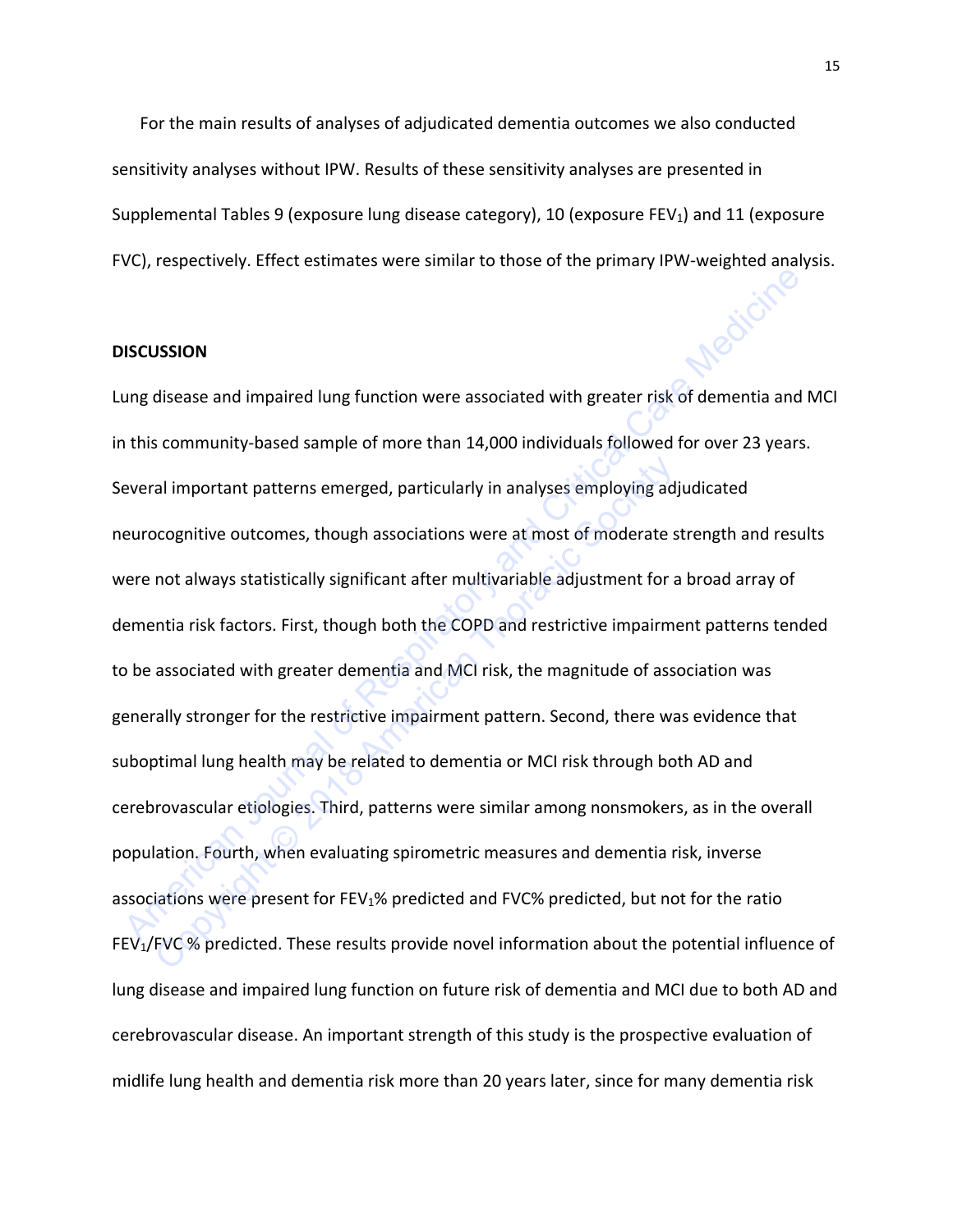For the main results of analyses of adjudicated dementia outcomes we also conducted sensitivity analyses without IPW. Results of these sensitivity analyses are presented in Supplemental Tables 9 (exposure lung disease category), 10 (exposure FEV1) and 11 (exposure FVC), respectively. Effect estimates were similar to those of the primary IPW-weighted analysis.

## **DISCUSSION**

Lung disease and impaired lung function were associated with greater risk of dementia and MCI in this community-based sample of more than 14,000 individuals followed for over 23 years. Several important patterns emerged, particularly in analyses employing adjudicated neurocognitive outcomes, though associations were at most of moderate strength and results were not always statistically significant after multivariable adjustment for a broad array of dementia risk factors. First, though both the COPD and restrictive impairment patterns tended to be associated with greater dementia and MCI risk, the magnitude of association was generally stronger for the restrictive impairment pattern. Second, there was evidence that suboptimal lung health may be related to dementia or MCI risk through both AD and cerebrovascular etiologies. Third, patterns were similar among nonsmokers, as in the overall population. Fourth, when evaluating spirometric measures and dementia risk, inverse associations were present for FEV1% predicted and FVC% predicted, but not for the ratio FEV1/FVC % predicted. These results provide novel information about the potential influence of lung disease and impaired lung function on future risk of dementia and MCI due to both AD and cerebrovascular disease. An important strength of this study is the prospective evaluation of midlife lung health and dementia risk more than 20 years later, since for many dementia risk **ISCUSSION**<br>
Ing disease and impaired lung function were associated with greater risk of dementia and h<br>
this community-based sample of more than 14,000 individuals followed for over 23 years.<br>
Everal important patterns em al important patterns emerged, particularly in analyses employing ad<br>ocognitive outcomes, though associations were at most of moderate s<br>not always statistically significant after multivariable adjustment for a<br>ntia risk f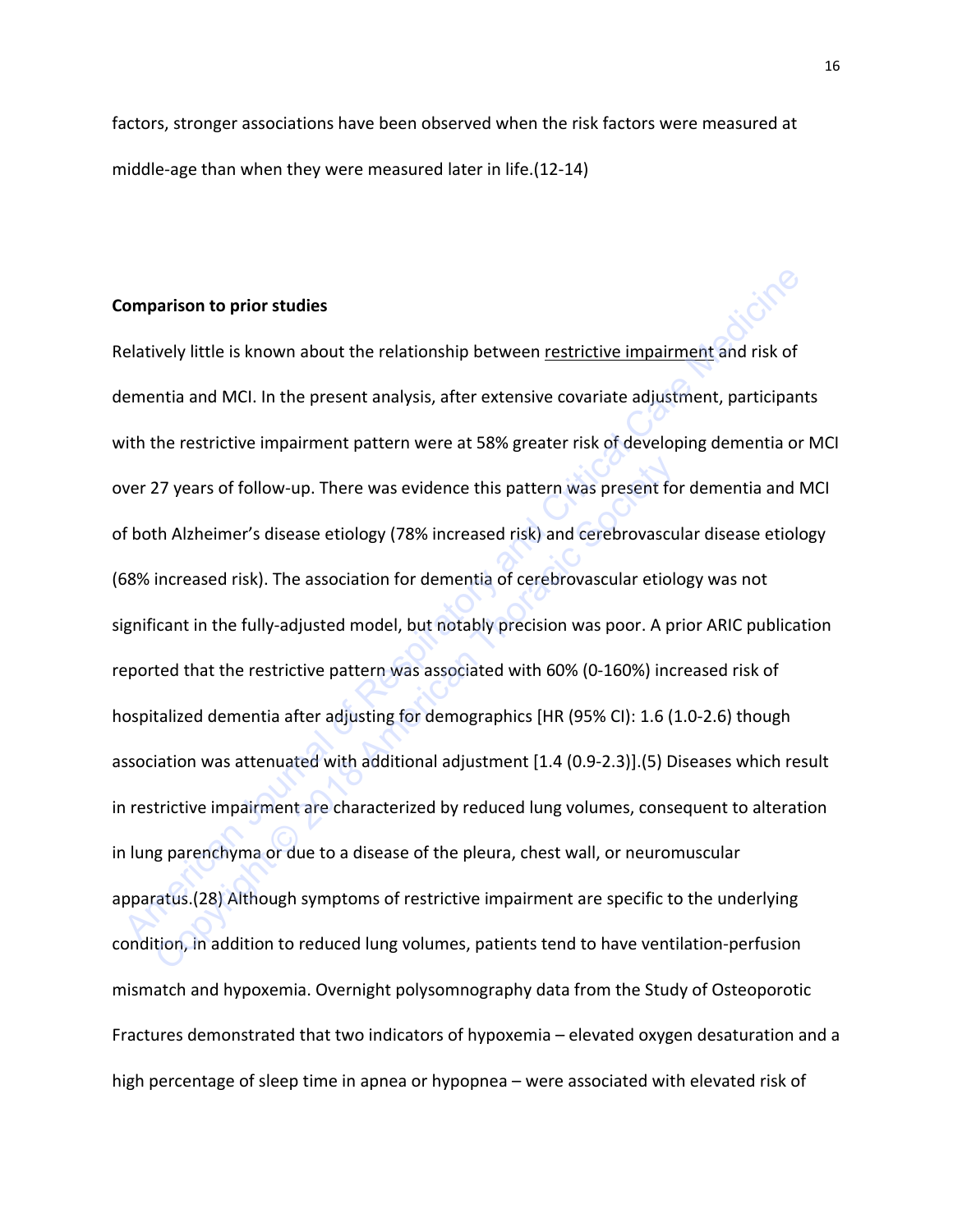factors, stronger associations have been observed when the risk factors were measured at middle-age than when they were measured later in life.(12-14)

#### **Comparison to prior studies**

Relatively little is known about the relationship between restrictive impairment and risk of dementia and MCI. In the present analysis, after extensive covariate adjustment, participants with the restrictive impairment pattern were at 58% greater risk of developing dementia or MCI over 27 years of follow-up. There was evidence this pattern was present for dementia and MCI of both Alzheimer's disease etiology (78% increased risk) and cerebrovascular disease etiology (68% increased risk). The association for dementia of cerebrovascular etiology was not significant in the fully-adjusted model, but notably precision was poor. A prior ARIC publication reported that the restrictive pattern was associated with 60% (0-160%) increased risk of hospitalized dementia after adjusting for demographics [HR (95% CI): 1.6 (1.0-2.6) though association was attenuated with additional adjustment [1.4 (0.9-2.3)].(5) Diseases which result in restrictive impairment are characterized by reduced lung volumes, consequent to alteration in lung parenchyma or due to a disease of the pleura, chest wall, or neuromuscular apparatus.(28) Although symptoms of restrictive impairment are specific to the underlying condition, in addition to reduced lung volumes, patients tend to have ventilation-perfusion mismatch and hypoxemia. Overnight polysomnography data from the Study of Osteoporotic Fractures demonstrated that two indicators of hypoxemia – elevated oxygen desaturation and a high percentage of sleep time in apnea or hypopnea – were associated with elevated risk of **omparison to prior studies**<br>
Elatively little is known about the relationship between <u>restrictive impairment</u> and risk of<br>
ementia and MCI. In the present analysis, after extensive covariate adjustment, participant<br>
with 27 years of follow-up. There was evidence this pattern was present fo<br>th Alzheimer's disease etiology (78% increased risk) and cerebrovascu<br>increased risk). The association for dementia of cerebrovascular etiol<br>icant in th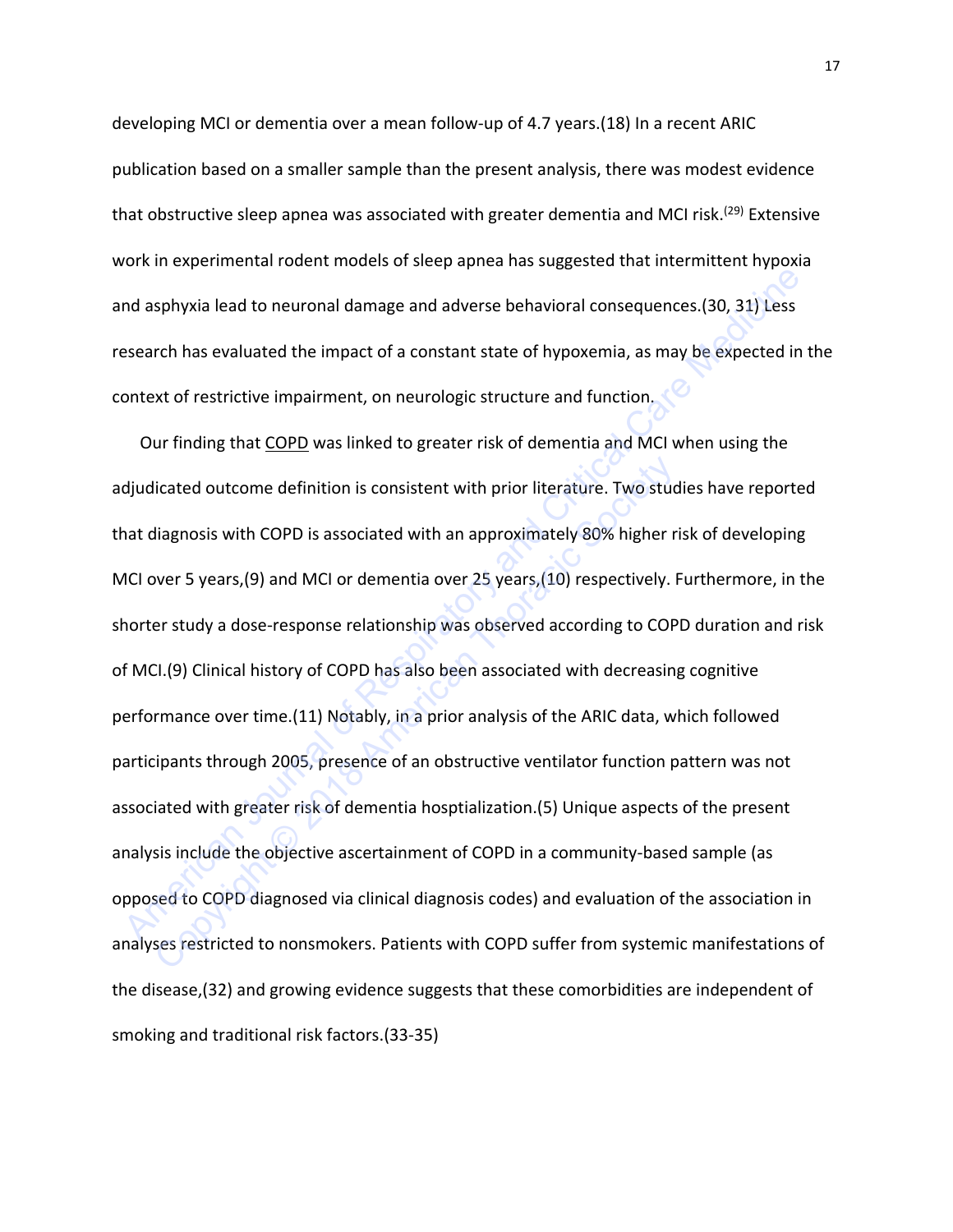developing MCI or dementia over a mean follow-up of 4.7 years.(18) In a recent ARIC publication based on a smaller sample than the present analysis, there was modest evidence that obstructive sleep apnea was associated with greater dementia and MCI risk.<sup>(29)</sup> Extensive work in experimental rodent models of sleep apnea has suggested that intermittent hypoxia and asphyxia lead to neuronal damage and adverse behavioral consequences.(30, 31) Less research has evaluated the impact of a constant state of hypoxemia, as may be expected in the context of restrictive impairment, on neurologic structure and function.

Our finding that COPD was linked to greater risk of dementia and MCI when using the adjudicated outcome definition is consistent with prior literature. Two studies have reported that diagnosis with COPD is associated with an approximately 80% higher risk of developing MCI over 5 years,(9) and MCI or dementia over 25 years,(10) respectively. Furthermore, in the shorter study a dose-response relationship was observed according to COPD duration and risk of MCI.(9) Clinical history of COPD has also been associated with decreasing cognitive performance over time.(11) Notably, in a prior analysis of the ARIC data, which followed participants through 2005, presence of an obstructive ventilator function pattern was not associated with greater risk of dementia hosptialization.(5) Unique aspects of the present analysis include the objective ascertainment of COPD in a community-based sample (as opposed to COPD diagnosed via clinical diagnosis codes) and evaluation of the association in analyses restricted to nonsmokers. Patients with COPD suffer from systemic manifestations of the disease,(32) and growing evidence suggests that these comorbidities are independent of smoking and traditional risk factors.(33-35) The system and asphyxia lead to neuronal damage and adverse behavioral consequences. (30, 31) Less<br>
sesearch has evaluated the impact of a constant state of hypoxemia, as may be expected in t<br>
ontext of restrictive impairm licated outcome definition is consistent with prior literature. Two studiagnosis with COPD is associated with an approximately 80% higher r<br>wer 5 years,(9) and MCI or dementia over 25 years,(10) respectively.<br>Prestudy a do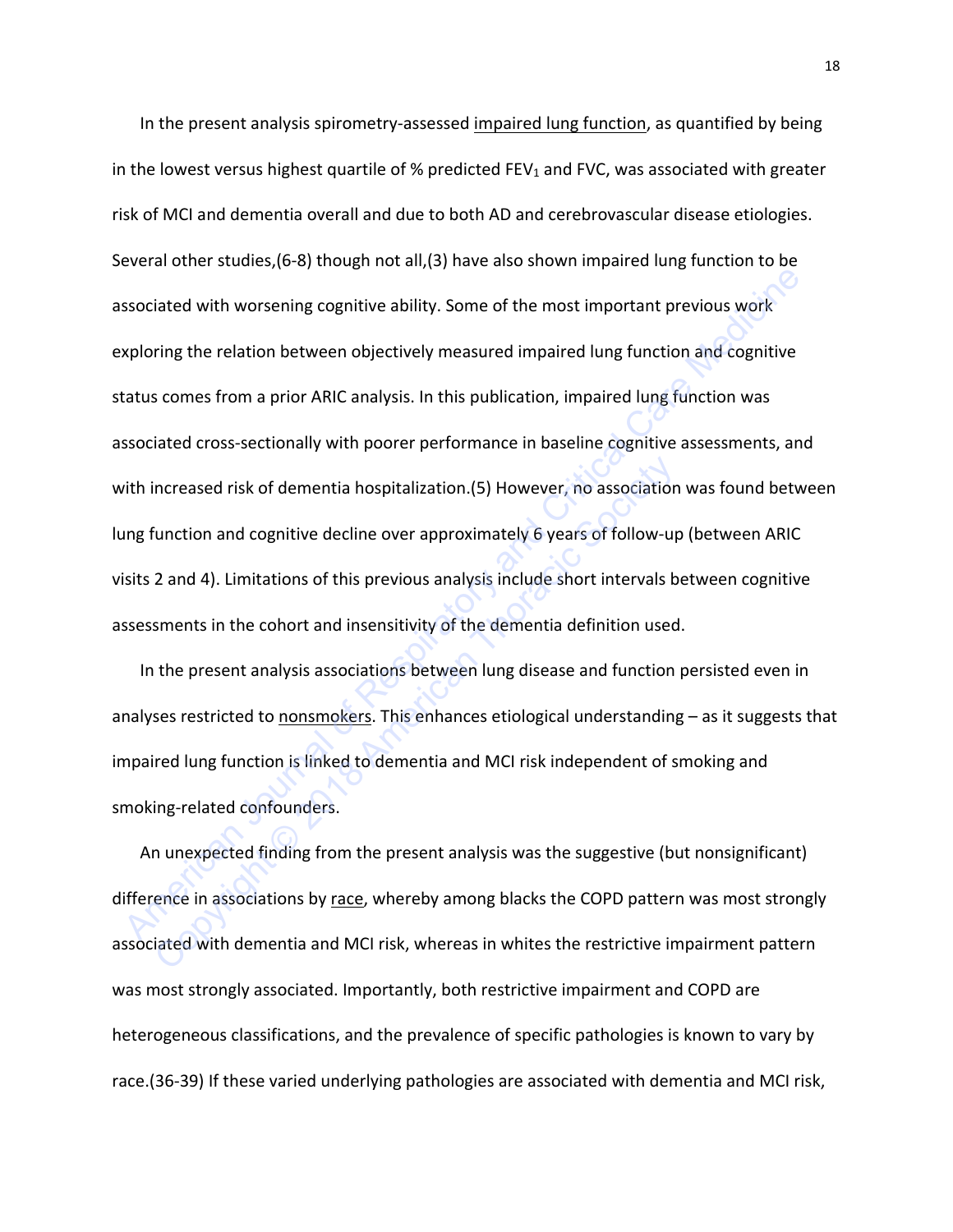In the present analysis spirometry-assessed impaired lung function, as quantified by being in the lowest versus highest quartile of % predicted FEV<sub>1</sub> and FVC, was associated with greater risk of MCI and dementia overall and due to both AD and cerebrovascular disease etiologies. Several other studies,(6-8) though not all,(3) have also shown impaired lung function to be associated with worsening cognitive ability. Some of the most important previous work exploring the relation between objectively measured impaired lung function and cognitive status comes from a prior ARIC analysis. In this publication, impaired lung function was associated cross-sectionally with poorer performance in baseline cognitive assessments, and with increased risk of dementia hospitalization.(5) However, no association was found between lung function and cognitive decline over approximately 6 years of follow-up (between ARIC visits 2 and 4). Limitations of this previous analysis include short intervals between cognitive assessments in the cohort and insensitivity of the dementia definition used. ssociated with worsening cognitive ability. Some of the most important previous work<br>xploring the relation between objectively measured impaired lung function and cognitive<br>tatus comes from a prior ARIC analysis. In this p ncreased risk of dementia hospitalization.(5) However, no association<br>
unction and cognitive decline over approximately 6 years of follow-up<br>
2 and 4). Limitations of this previous analysis include short intervals b<br>
sment

In the present analysis associations between lung disease and function persisted even in analyses restricted to nonsmokers. This enhances etiological understanding - as it suggests that impaired lung function is linked to dementia and MCI risk independent of smoking and smoking-related confounders.

An unexpected finding from the present analysis was the suggestive (but nonsignificant) difference in associations by race, whereby among blacks the COPD pattern was most strongly associated with dementia and MCI risk, whereas in whites the restrictive impairment pattern was most strongly associated. Importantly, both restrictive impairment and COPD are heterogeneous classifications, and the prevalence of specific pathologies is known to vary by race.(36-39) If these varied underlying pathologies are associated with dementia and MCI risk,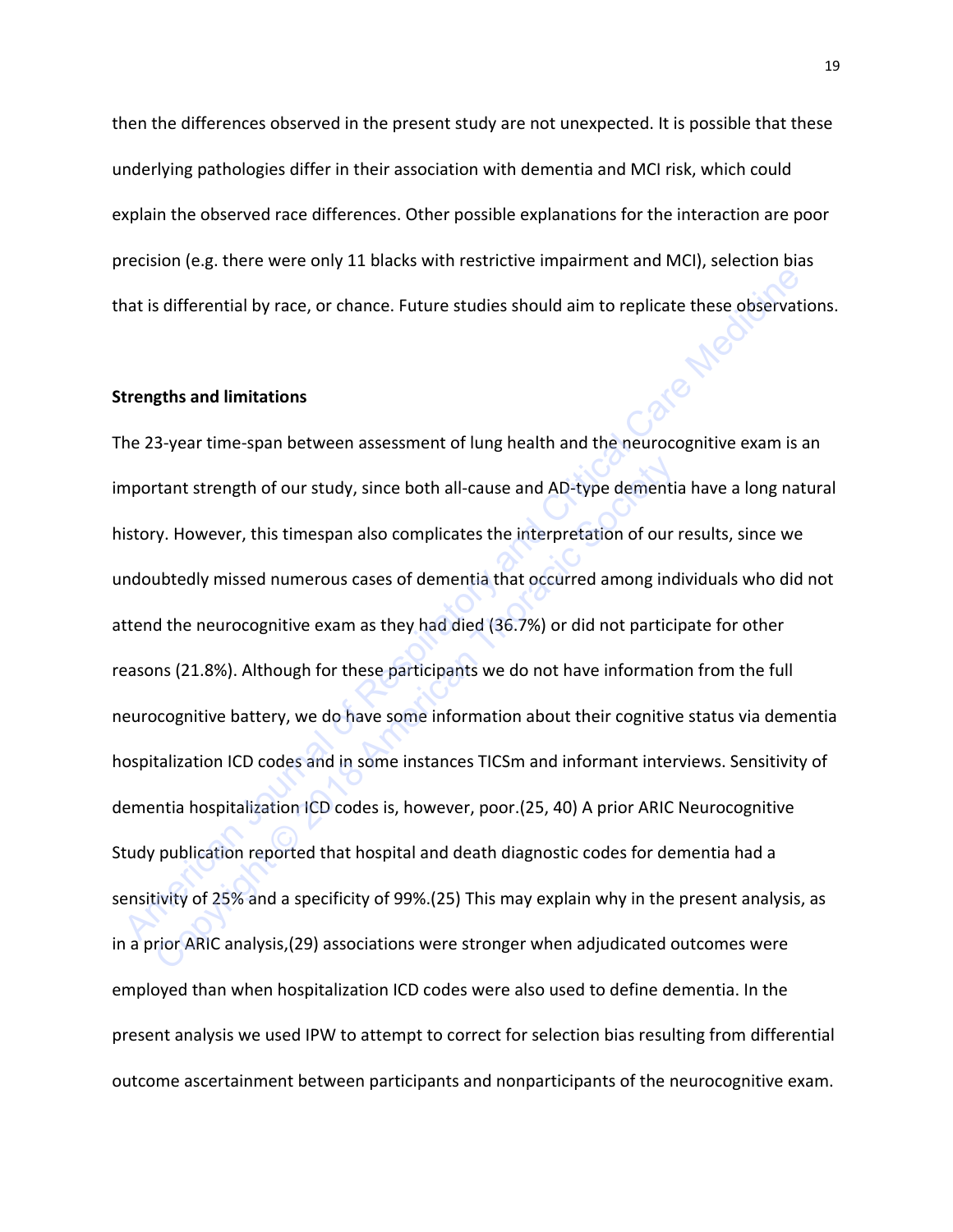then the differences observed in the present study are not unexpected. It is possible that these underlying pathologies differ in their association with dementia and MCI risk, which could explain the observed race differences. Other possible explanations for the interaction are poor precision (e.g. there were only 11 blacks with restrictive impairment and MCI), selection bias that is differential by race, or chance. Future studies should aim to replicate these observations.

### **Strengths and limitations**

The 23-year time-span between assessment of lung health and the neurocognitive exam is an important strength of our study, since both all-cause and AD-type dementia have a long natural history. However, this timespan also complicates the interpretation of our results, since we undoubtedly missed numerous cases of dementia that occurred among individuals who did not attend the neurocognitive exam as they had died (36.7%) or did not participate for other reasons (21.8%). Although for these participants we do not have information from the full neurocognitive battery, we do have some information about their cognitive status via dementia hospitalization ICD codes and in some instances TICSm and informant interviews. Sensitivity of dementia hospitalization ICD codes is, however, poor.(25, 40) A prior ARIC Neurocognitive Study publication reported that hospital and death diagnostic codes for dementia had a sensitivity of 25% and a specificity of 99%.(25) This may explain why in the present analysis, as in a prior ARIC analysis,(29) associations were stronger when adjudicated outcomes were employed than when hospitalization ICD codes were also used to define dementia. In the present analysis we used IPW to attempt to correct for selection bias resulting from differential outcome ascertainment between participants and nonparticipants of the neurocognitive exam. American Journal of Respiration of Dental Care and Network and September 2013.<br>
American September 2014 and the selection of Figure 2014 and the selection of Dental Care Medicine Care Medicine Care Medicine Care Medicine C rtant strength of our study, since both all-cause and AD-type dementicant strength of our study, since both all-cause and AD-type dementicy. However, this timespan also complicates the interpretation of our ubtedly missed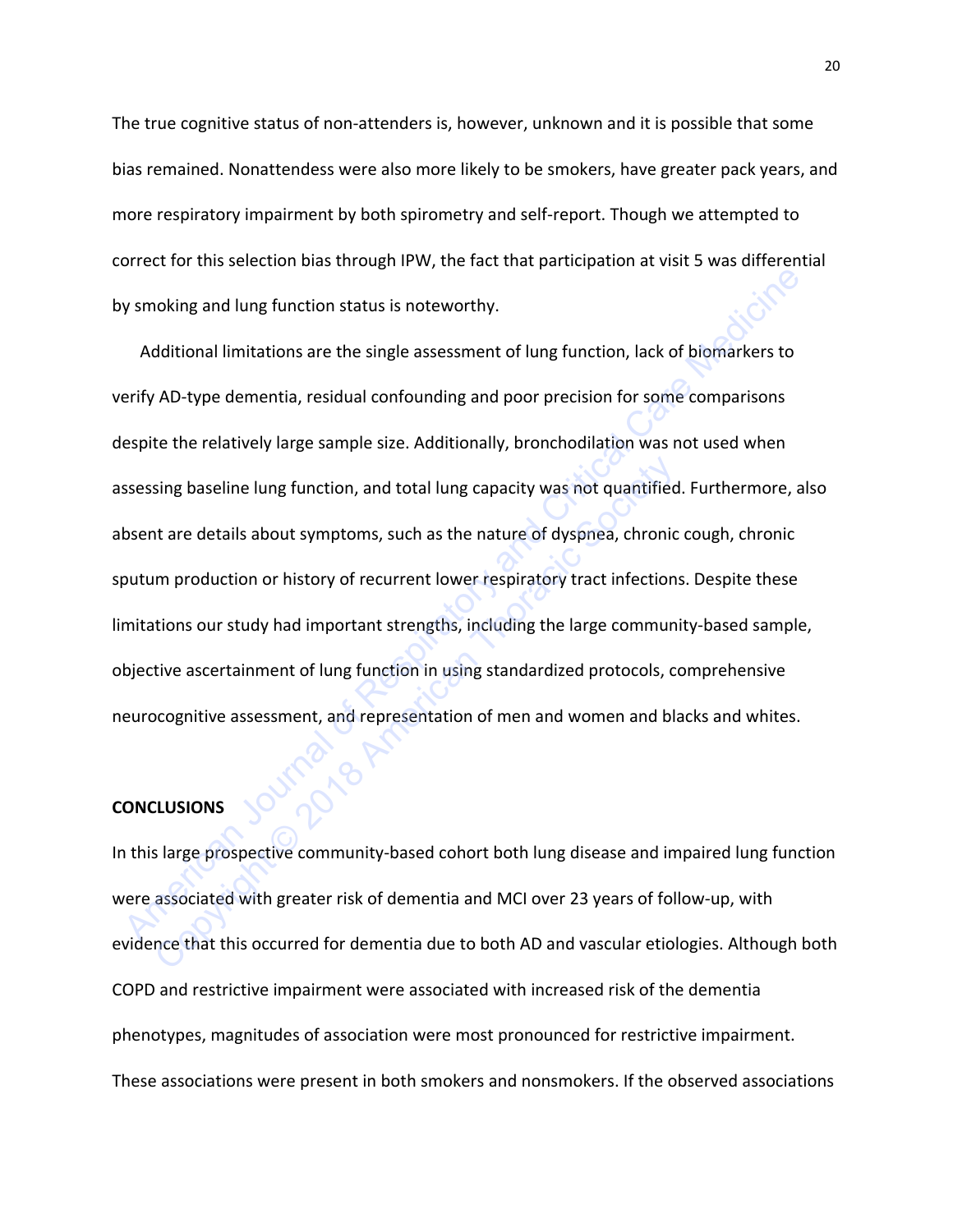The true cognitive status of non-attenders is, however, unknown and it is possible that some bias remained. Nonattendess were also more likely to be smokers, have greater pack years, and more respiratory impairment by both spirometry and self-report. Though we attempted to correct for this selection bias through IPW, the fact that participation at visit 5 was differential by smoking and lung function status is noteworthy.

Additional limitations are the single assessment of lung function, lack of biomarkers to verify AD-type dementia, residual confounding and poor precision for some comparisons despite the relatively large sample size. Additionally, bronchodilation was not used when assessing baseline lung function, and total lung capacity was not quantified. Furthermore, also absent are details about symptoms, such as the nature of dyspnea, chronic cough, chronic sputum production or history of recurrent lower respiratory tract infections. Despite these limitations our study had important strengths, including the large community-based sample, objective ascertainment of lung function in using standardized protocols, comprehensive neurocognitive assessment, and representation of men and women and blacks and whites. Noting and lung function status is noteworthy.<br>
Additional limitations are the single assessment of lung function, lack of biomarkers to<br>
erify AD-type dementia, residual confounding and poor precision for some comparisons sing baseline lung function, and total lung capacity was not quantified<br>that are details about symptoms, such as the nature of dyspnea, chronic<br>m production or history of recurrent lower respiratory tract infection<br>tions o

# **CONCLUSIONS**

In this large prospective community-based cohort both lung disease and impaired lung function were associated with greater risk of dementia and MCI over 23 years of follow-up, with evidence that this occurred for dementia due to both AD and vascular etiologies. Although both COPD and restrictive impairment were associated with increased risk of the dementia phenotypes, magnitudes of association were most pronounced for restrictive impairment. These associations were present in both smokers and nonsmokers. If the observed associations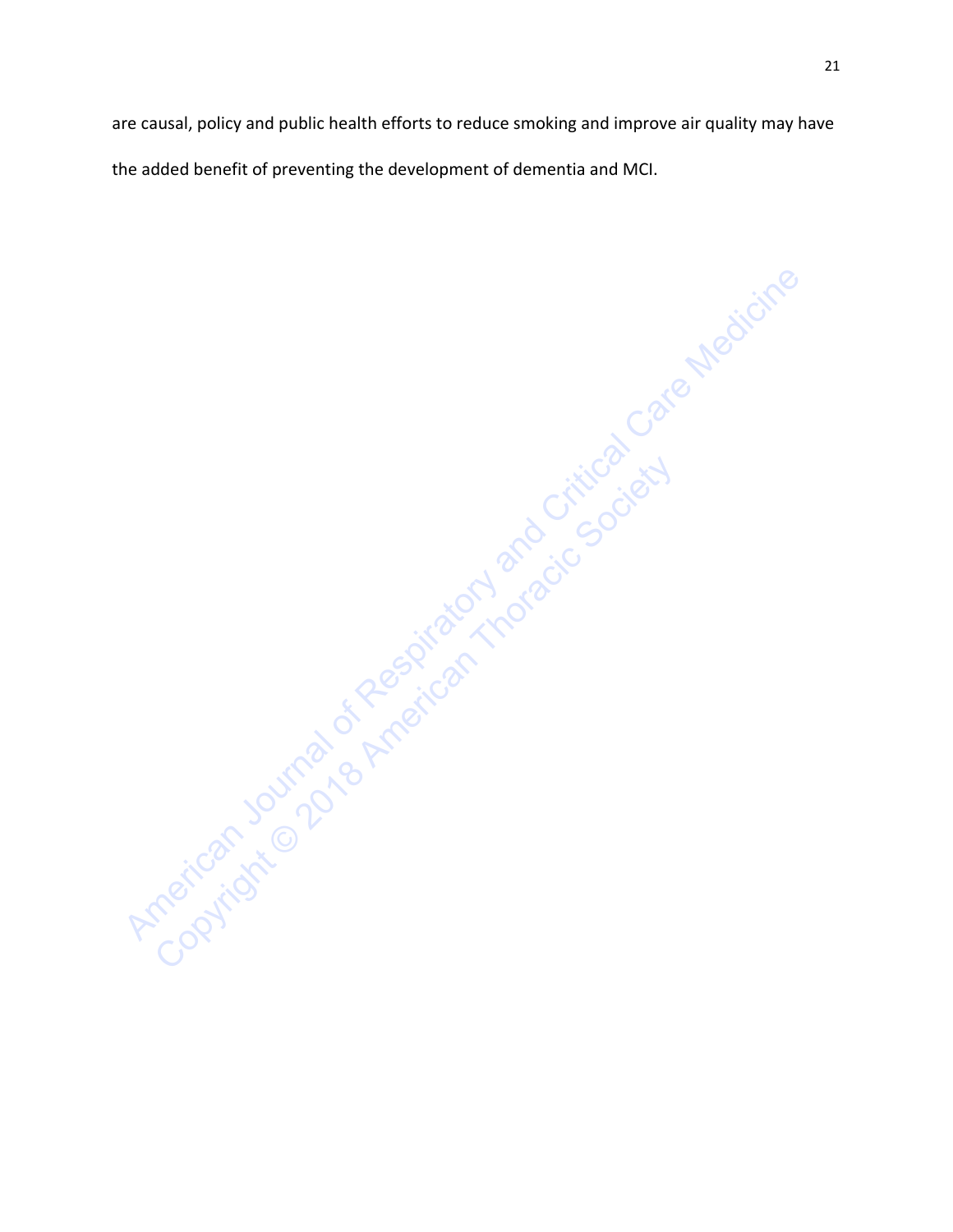are causal, policy and public health efforts to reduce smoking and improve air quality may have the added benefit of preventing the development of dementia and MCI.

American Journal of American Indian and Critical Care Medicine Copyright Society of the Society and American Thoracic Society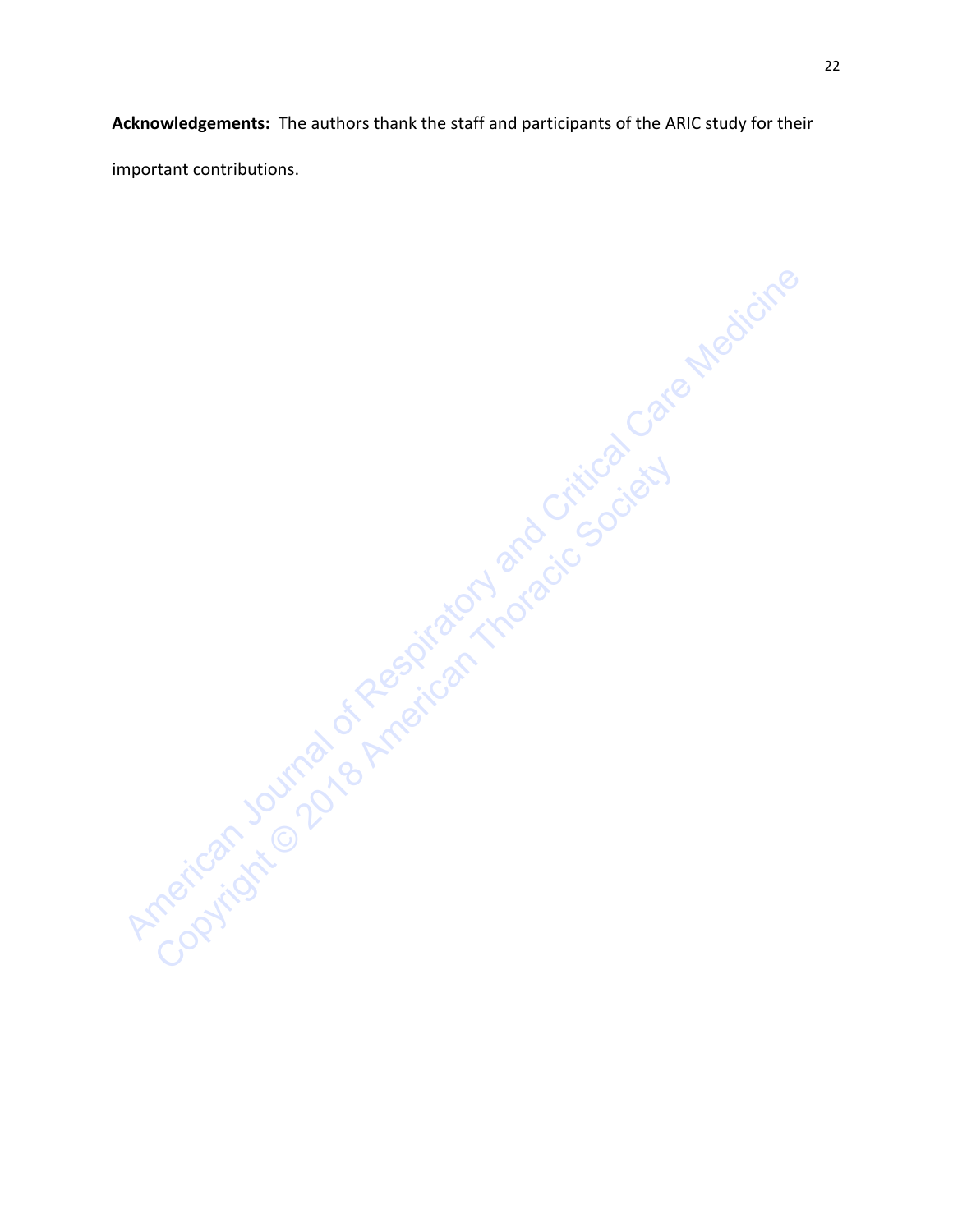**Acknowledgements:** The authors thank the staff and participants of the ARIC study for their important contributions.

American Journal of American Indian and Critical Care Medicine Copyright Society of the Society and American Thoracic Society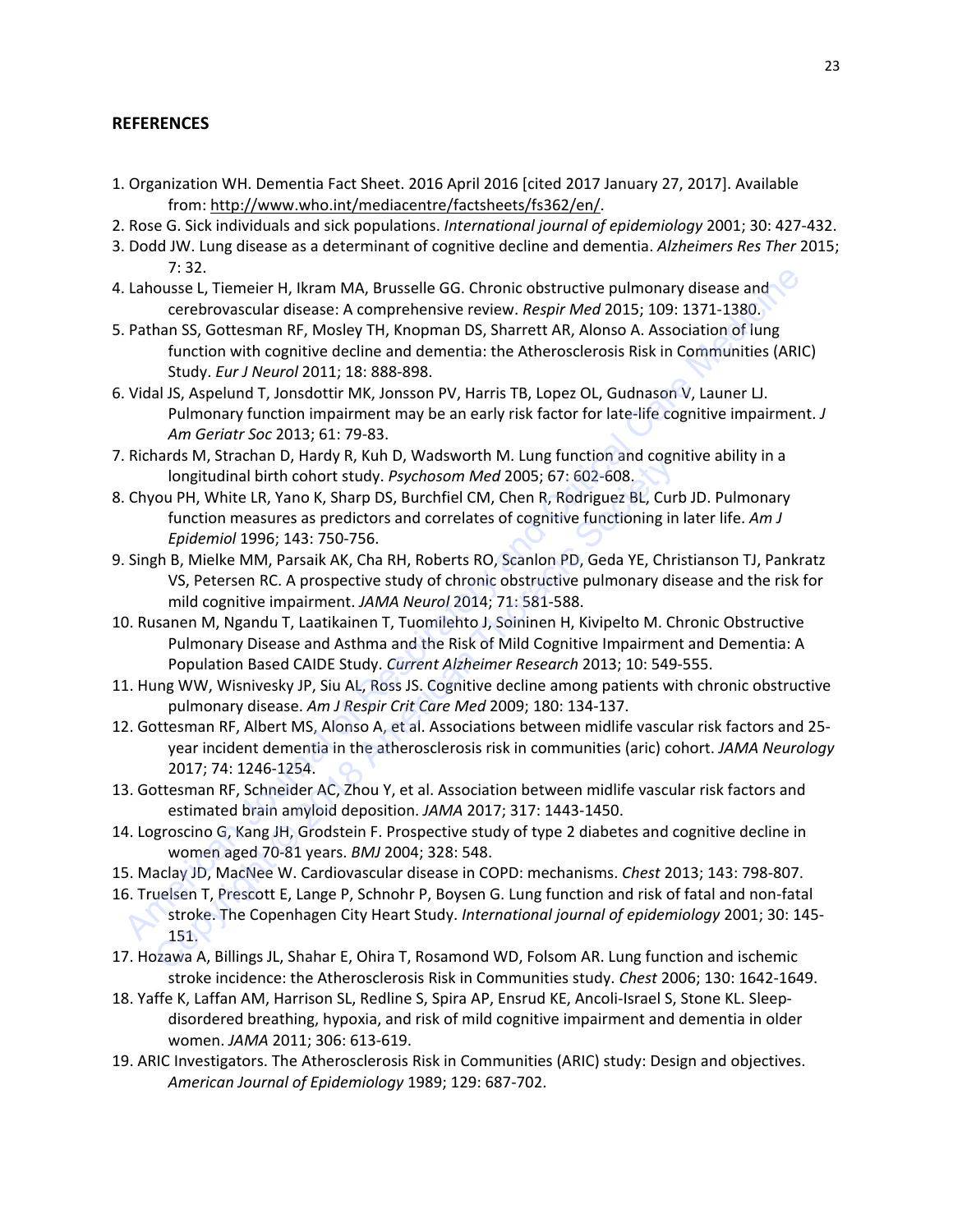## **REFERENCES**

- 1. Organization WH. Dementia Fact Sheet. 2016 April 2016 [cited 2017 January 27, 2017]. Available from: [http://www.who.int/mediacentre/factsheets/fs362/en/.](http://www.who.int/mediacentre/factsheets/fs362/en/)
- 2. Rose G. Sick individuals and sick populations. *International journal of epidemiology* 2001; 30: 427-432.
- 3. Dodd JW. Lung disease as a determinant of cognitive decline and dementia. *Alzheimers Res Ther* 2015; 7: 32.
- 4. Lahousse L, Tiemeier H, Ikram MA, Brusselle GG. Chronic obstructive pulmonary disease and cerebrovascular disease: A comprehensive review. *Respir Med* 2015; 109: 1371-1380.
- 5. Pathan SS, Gottesman RF, Mosley TH, Knopman DS, Sharrett AR, Alonso A. Association of lung function with cognitive decline and dementia: the Atherosclerosis Risk in Communities (ARIC) Study. *Eur J Neurol* 2011; 18: 888-898.
- 6. Vidal JS, Aspelund T, Jonsdottir MK, Jonsson PV, Harris TB, Lopez OL, Gudnason V, Launer LJ. Pulmonary function impairment may be an early risk factor for late-life cognitive impairment. *J Am Geriatr Soc* 2013; 61: 79-83.
- 7. Richards M, Strachan D, Hardy R, Kuh D, Wadsworth M. Lung function and cognitive ability in a longitudinal birth cohort study. *Psychosom Med* 2005; 67: 602-608.
- 8. Chyou PH, White LR, Yano K, Sharp DS, Burchfiel CM, Chen R, Rodriguez BL, Curb JD. Pulmonary function measures as predictors and correlates of cognitive functioning in later life. *Am J Epidemiol* 1996; 143: 750-756. Iongitudinal birth chordy is, και *D*, was word if with Congitudinal birth chort study. *Psychosom Med* 2005; 67: 602-608.<br>
Ou PH, White LR, Yano K, Sharp DS, Burchfiel CM, Chen R, Rodriguez BL, Cur<br>
function measures as
- 9. Singh B, Mielke MM, Parsaik AK, Cha RH, Roberts RO, Scanlon PD, Geda YE, Christianson TJ, Pankratz VS, Petersen RC. A prospective study of chronic obstructive pulmonary disease and the risk for mild cognitive impairment. *JAMA Neurol* 2014; 71: 581-588.
- 10. Rusanen M, Ngandu T, Laatikainen T, Tuomilehto J, Soininen H, Kivipelto M. Chronic Obstructive Pulmonary Disease and Asthma and the Risk of Mild Cognitive Impairment and Dementia: A Population Based CAIDE Study. *Current Alzheimer Research* 2013; 10: 549-555.
- 11. Hung WW, Wisnivesky JP, Siu AL, Ross JS. Cognitive decline among patients with chronic obstructive pulmonary disease. *Am J Respir Crit Care Med* 2009; 180: 134-137.
- 12. Gottesman RF, Albert MS, Alonso A, et al. Associations between midlife vascular risk factors and 25 year incident dementia in the atherosclerosis risk in communities (aric) cohort. *JAMA Neurology*  2017; 74: 1246-1254. Lahousse L, Tiemeier H, Ikram MA, Brusselle GG. Chronic obstructive pulmonary disease and<br>
cerbetwosscular disease. A comprehensive review. Respir Med 2015; 109: 1371-1380.<br>
Pathan SS, Gottesman RF, Mosley TH, Knopman DS,
- 13. Gottesman RF, Schneider AC, Zhou Y, et al. Association between midlife vascular risk factors and estimated brain amyloid deposition. *JAMA* 2017; 317: 1443-1450.
- 14. Logroscino G, Kang JH, Grodstein F. Prospective study of type 2 diabetes and cognitive decline in women aged 70-81 years. *BMJ* 2004; 328: 548.
- 15. Maclay JD, MacNee W. Cardiovascular disease in COPD: mechanisms. *Chest* 2013; 143: 798-807.
- 16. Truelsen T, Prescott E, Lange P, Schnohr P, Boysen G. Lung function and risk of fatal and non-fatal stroke. The Copenhagen City Heart Study. *International journal of epidemiology* 2001; 30: 145- 151.
- 17. Hozawa A, Billings JL, Shahar E, Ohira T, Rosamond WD, Folsom AR. Lung function and ischemic stroke incidence: the Atherosclerosis Risk in Communities study. *Chest* 2006; 130: 1642-1649.
- 18. Yaffe K, Laffan AM, Harrison SL, Redline S, Spira AP, Ensrud KE, Ancoli-Israel S, Stone KL. Sleepdisordered breathing, hypoxia, and risk of mild cognitive impairment and dementia in older women. *JAMA* 2011; 306: 613-619.
- 19. ARIC Investigators. The Atherosclerosis Risk in Communities (ARIC) study: Design and objectives. *American Journal of Epidemiology* 1989; 129: 687-702.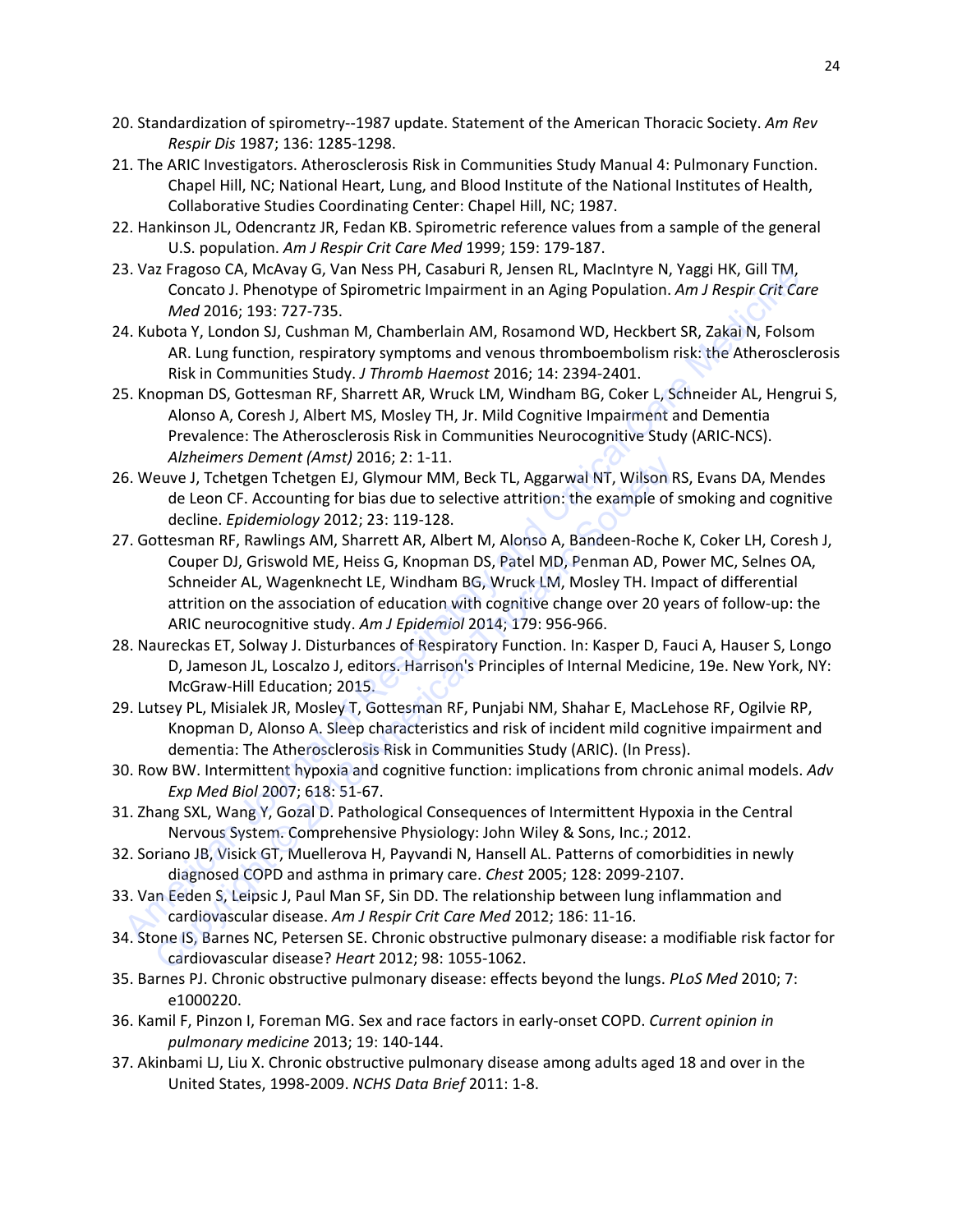- 20. Standardization of spirometry--1987 update. Statement of the American Thoracic Society. *Am Rev Respir Dis* 1987; 136: 1285-1298.
- 21. The ARIC Investigators. Atherosclerosis Risk in Communities Study Manual 4: Pulmonary Function. Chapel Hill, NC; National Heart, Lung, and Blood Institute of the National Institutes of Health, Collaborative Studies Coordinating Center: Chapel Hill, NC; 1987.
- 22. Hankinson JL, Odencrantz JR, Fedan KB. Spirometric reference values from a sample of the general U.S. population. *Am J Respir Crit Care Med* 1999; 159: 179-187.
- 23. Vaz Fragoso CA, McAvay G, Van Ness PH, Casaburi R, Jensen RL, MacIntyre N, Yaggi HK, Gill TM, Concato J. Phenotype of Spirometric Impairment in an Aging Population. *Am J Respir Crit Care Med* 2016; 193: 727-735.
- 24. Kubota Y, London SJ, Cushman M, Chamberlain AM, Rosamond WD, Heckbert SR, Zakai N, Folsom AR. Lung function, respiratory symptoms and venous thromboembolism risk: the Atherosclerosis Risk in Communities Study. *J Thromb Haemost* 2016; 14: 2394-2401.
- 25. Knopman DS, Gottesman RF, Sharrett AR, Wruck LM, Windham BG, Coker L, Schneider AL, Hengrui S, Alonso A, Coresh J, Albert MS, Mosley TH, Jr. Mild Cognitive Impairment and Dementia Prevalence: The Atherosclerosis Risk in Communities Neurocognitive Study (ARIC-NCS). *Alzheimers Dement (Amst)* 2016; 2: 1-11.
- 26. Weuve J, Tchetgen Tchetgen EJ, Glymour MM, Beck TL, Aggarwal NT, Wilson RS, Evans DA, Mendes de Leon CF. Accounting for bias due to selective attrition: the example of smoking and cognitive decline. *Epidemiology* 2012; 23: 119-128.
- 27. Gottesman RF, Rawlings AM, Sharrett AR, Albert M, Alonso A, Bandeen-Roche K, Coker LH, Coresh J, Couper DJ, Griswold ME, Heiss G, Knopman DS, Patel MD, Penman AD, Power MC, Selnes OA, Schneider AL, Wagenknecht LE, Windham BG, Wruck LM, Mosley TH. Impact of differential attrition on the association of education with cognitive change over 20 years of follow-up: the ARIC neurocognitive study. *Am J Epidemiol* 2014; 179: 956-966. 3. var Pragnos CA, Werwayy G, var Ness PM, Cassamir K, pensent K, Wachinyte K, raggin K, oili IM,<br>A. Kubata V, London SJ, Custiman M, Chamberlain AM, Rossmond WD, Heckbert SR, Zakai N, Folsom<br>A. K. Wobat 2015: 1227-735.<br>A. American Perfier (*MINI)* 2015 2: 1-11.<br>
American Thore and Thore and The example of the team of F. Accounting for bias due to selective attrition: the example of decline. *Epidemiology* 2012; 23: 119-128.<br>
Mtesman RF, Raw
- 28. Naureckas ET, Solway J. Disturbances of Respiratory Function. In: Kasper D, Fauci A, Hauser S, Longo D, Jameson JL, Loscalzo J, editors. Harrison's Principles of Internal Medicine, 19e. New York, NY: McGraw-Hill Education; 2015.
- 29. Lutsey PL, Misialek JR, Mosley T, Gottesman RF, Punjabi NM, Shahar E, MacLehose RF, Ogilvie RP, Knopman D, Alonso A. Sleep characteristics and risk of incident mild cognitive impairment and dementia: The Atherosclerosis Risk in Communities Study (ARIC). (In Press).
- 30. Row BW. Intermittent hypoxia and cognitive function: implications from chronic animal models. *Adv Exp Med Biol* 2007; 618: 51-67.
- 31. Zhang SXL, Wang Y, Gozal D. Pathological Consequences of Intermittent Hypoxia in the Central Nervous System. Comprehensive Physiology: John Wiley & Sons, Inc.; 2012.
- 32. Soriano JB, Visick GT, Muellerova H, Payvandi N, Hansell AL. Patterns of comorbidities in newly diagnosed COPD and asthma in primary care. *Chest* 2005; 128: 2099-2107.
- 33. Van Eeden S, Leipsic J, Paul Man SF, Sin DD. The relationship between lung inflammation and cardiovascular disease. *Am J Respir Crit Care Med* 2012; 186: 11-16.
- 34. Stone IS, Barnes NC, Petersen SE. Chronic obstructive pulmonary disease: a modifiable risk factor for cardiovascular disease? *Heart* 2012; 98: 1055-1062.
- 35. Barnes PJ. Chronic obstructive pulmonary disease: effects beyond the lungs. *PLoS Med* 2010; 7: e1000220.
- 36. Kamil F, Pinzon I, Foreman MG. Sex and race factors in early-onset COPD. *Current opinion in pulmonary medicine* 2013; 19: 140-144.
- 37. Akinbami LJ, Liu X. Chronic obstructive pulmonary disease among adults aged 18 and over in the United States, 1998-2009. *NCHS Data Brief* 2011: 1-8.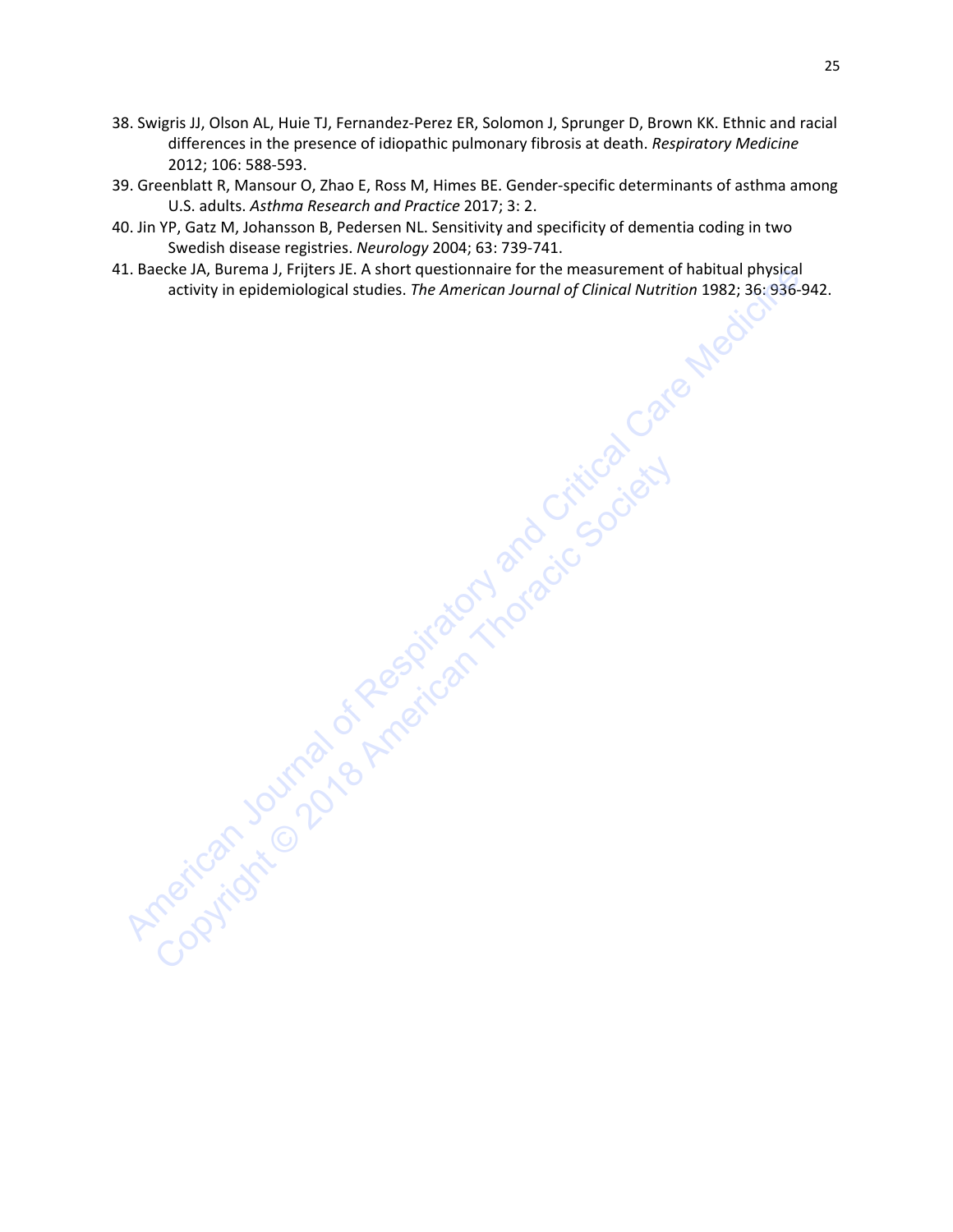- 38. Swigris JJ, Olson AL, Huie TJ, Fernandez-Perez ER, Solomon J, Sprunger D, Brown KK. Ethnic and racial differences in the presence of idiopathic pulmonary fibrosis at death. *Respiratory Medicine*  2012; 106: 588-593.
- 39. Greenblatt R, Mansour O, Zhao E, Ross M, Himes BE. Gender-specific determinants of asthma among U.S. adults. *Asthma Research and Practice* 2017; 3: 2.
- 40. Jin YP, Gatz M, Johansson B, Pedersen NL. Sensitivity and specificity of dementia coding in two Swedish disease registries. *Neurology* 2004; 63: 739-741.
- 41. Baecke JA, Burema J, Frijters JE. A short questionnaire for the measurement of habitual physical activity in epidemiological studies. *The American Journal of Clinical Nutrition* 1982; 36: 936-942.

A. Baecke JA, Burema J, Filters J.e. A short questionniare for the measurement of Chincal Nutrition 1982; 36:936-9<br>activity in epidemiological studies. The American Journal of Clinical Nutrition 1982; 36:936-9<br>activity in Copyright Society of the Society and American Thoracic Society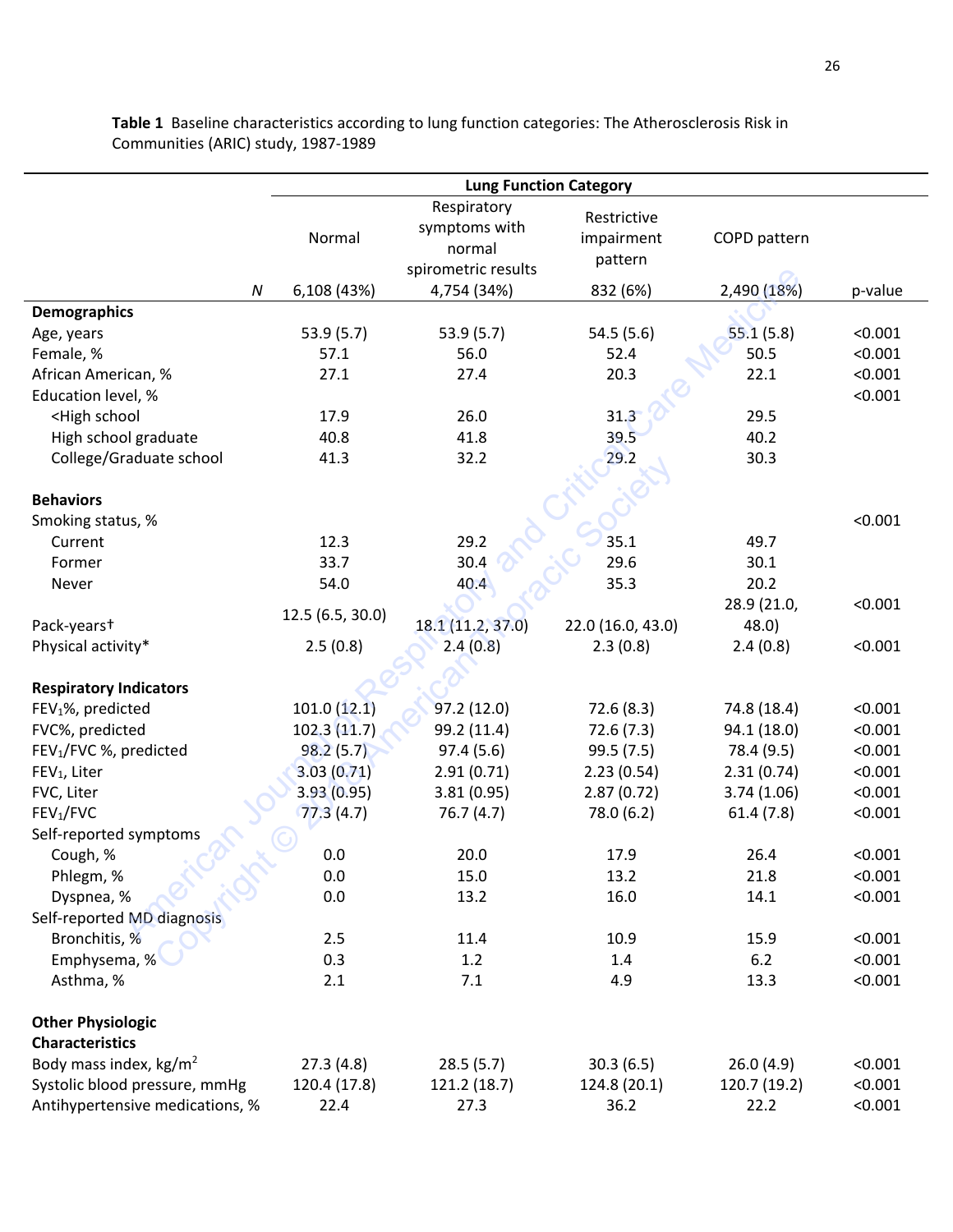|                                                                                             | <b>Lung Function Category</b> |                                                               |                                      |              |         |
|---------------------------------------------------------------------------------------------|-------------------------------|---------------------------------------------------------------|--------------------------------------|--------------|---------|
|                                                                                             | Normal                        | Respiratory<br>symptoms with<br>normal<br>spirometric results | Restrictive<br>impairment<br>pattern | COPD pattern |         |
| ${\cal N}$                                                                                  | 6,108 (43%)                   | 4,754 (34%)                                                   | 832 (6%)                             | 2,490 (18%)  | p-value |
| <b>Demographics</b>                                                                         |                               |                                                               |                                      |              |         |
| Age, years                                                                                  | 53.9(5.7)                     | 53.9(5.7)                                                     | 54.5 (5.6)                           | 55.1(5.8)    | < 0.001 |
| Female, %                                                                                   | 57.1                          | 56.0                                                          | 52.4                                 | 50.5         | < 0.001 |
| African American, %                                                                         | 27.1                          | 27.4                                                          | 20.3                                 | 22.1         | < 0.001 |
| Education level, %                                                                          |                               |                                                               |                                      |              | < 0.001 |
| <high school<="" td=""><td>17.9</td><td>26.0</td><td>31.3</td><td>29.5</td><td></td></high> | 17.9                          | 26.0                                                          | 31.3                                 | 29.5         |         |
| High school graduate                                                                        | 40.8                          | 41.8                                                          | 39.5                                 | 40.2         |         |
| College/Graduate school                                                                     | 41.3                          | 32.2                                                          | 29.2                                 | 30.3         |         |
|                                                                                             |                               |                                                               |                                      |              |         |
| <b>Behaviors</b>                                                                            |                               |                                                               |                                      |              |         |
| Smoking status, %                                                                           |                               |                                                               |                                      |              | < 0.001 |
| Current                                                                                     | 12.3                          | 29.2                                                          | 35.1                                 | 49.7         |         |
| Former                                                                                      | 33.7                          | 30.4                                                          | 29.6                                 | 30.1         |         |
| Never                                                                                       | 54.0                          | 40.4                                                          | 35.3                                 | 20.2         |         |
|                                                                                             |                               |                                                               |                                      | 28.9 (21.0,  | < 0.001 |
| Pack-yearst                                                                                 | 12.5 (6.5, 30.0)              | 18.1 (11.2, 37.0)                                             | 22.0 (16.0, 43.0)                    | 48.0)        |         |
| Physical activity*                                                                          | 2.5(0.8)                      | 2.4(0.8)                                                      | 2.3(0.8)                             | 2.4(0.8)     | < 0.001 |
|                                                                                             |                               |                                                               |                                      |              |         |
| <b>Respiratory Indicators</b>                                                               |                               |                                                               |                                      |              |         |
| FEV <sub>1</sub> %, predicted                                                               | 101.0(12.1)                   | 97.2(12.0)                                                    | 72.6 (8.3)                           | 74.8 (18.4)  | < 0.001 |
| FVC%, predicted                                                                             | 102.3(11.7)                   | 99.2 (11.4)                                                   | 72.6 (7.3)                           | 94.1 (18.0)  | < 0.001 |
| FEV <sub>1</sub> /FVC %, predicted                                                          | 98.2(5.7)                     | 97.4(5.6)                                                     | 99.5(7.5)                            | 78.4 (9.5)   | < 0.001 |
| FEV <sub>1</sub> , Liter                                                                    | 3.03(0.71)                    | 2.91(0.71)                                                    | 2.23(0.54)                           | 2.31(0.74)   | < 0.001 |
| FVC, Liter                                                                                  | 3.93(0.95)                    | 3.81(0.95)                                                    | 2.87(0.72)                           | 3.74(1.06)   | < 0.001 |
| FEV <sub>1</sub> /FVC                                                                       | 77.3(4.7)                     | 76.7(4.7)                                                     | 78.0 (6.2)                           | 61.4(7.8)    | < 0.001 |
| Self-reported symptoms                                                                      |                               |                                                               |                                      |              |         |
| Cough, %                                                                                    | 0.0                           | 20.0                                                          | 17.9                                 | 26.4         | < 0.001 |
| Phlegm, %                                                                                   | 0.0                           | 15.0                                                          | 13.2                                 | 21.8         | < 0.001 |
| Dyspnea, %                                                                                  | 0.0                           | 13.2                                                          | 16.0                                 | 14.1         | < 0.001 |
| Self-reported MD diagnosis                                                                  |                               |                                                               |                                      |              |         |
| Bronchitis, %                                                                               | 2.5                           | 11.4                                                          | 10.9                                 | 15.9         | < 0.001 |
| Emphysema, %                                                                                | 0.3                           | 1.2                                                           | 1.4                                  | 6.2          | < 0.001 |
| Asthma, %                                                                                   | 2.1                           | 7.1                                                           | 4.9                                  | 13.3         | < 0.001 |
| <b>Other Physiologic</b>                                                                    |                               |                                                               |                                      |              |         |
| <b>Characteristics</b>                                                                      |                               |                                                               |                                      |              |         |
| Body mass index, kg/m <sup>2</sup>                                                          | 27.3(4.8)                     | 28.5(5.7)                                                     | 30.3(6.5)                            | 26.0(4.9)    | < 0.001 |
| Systolic blood pressure, mmHg                                                               | 120.4 (17.8)                  | 121.2 (18.7)                                                  | 124.8 (20.1)                         | 120.7 (19.2) | < 0.001 |
| Antihypertensive medications, %                                                             | 22.4                          | 27.3                                                          | 36.2                                 | 22.2         | < 0.001 |

**Table 1** Baseline characteristics according to lung function categories: The Atherosclerosis Risk in Communities (ARIC) study, 1987-1989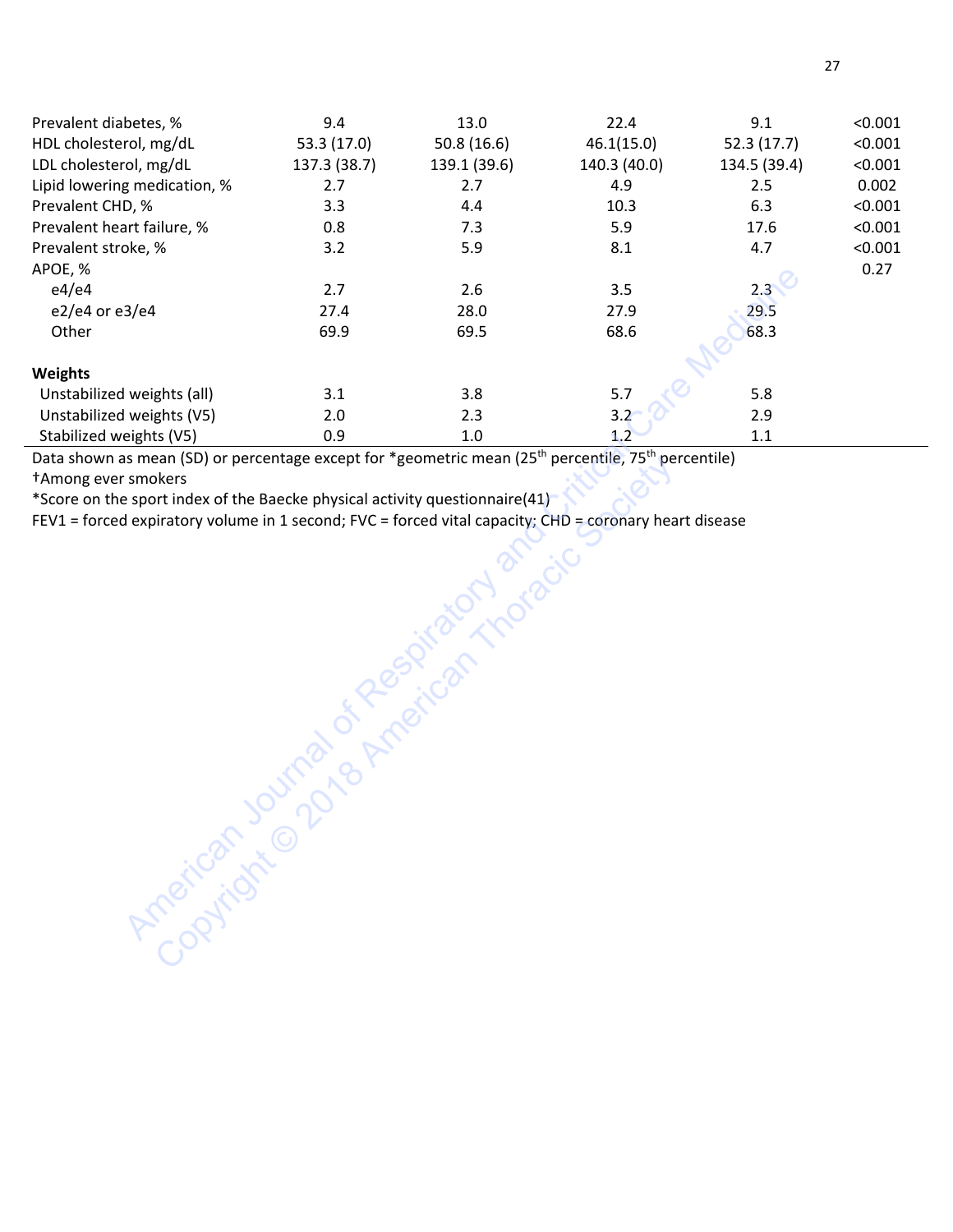| Prevalent diabetes, %                                                                                                       | 9.4          | 13.0         | 22.4         | 9.1          | < 0.001 |
|-----------------------------------------------------------------------------------------------------------------------------|--------------|--------------|--------------|--------------|---------|
| HDL cholesterol, mg/dL                                                                                                      | 53.3 (17.0)  | 50.8(16.6)   | 46.1(15.0)   | 52.3 (17.7)  | < 0.001 |
| LDL cholesterol, mg/dL                                                                                                      | 137.3 (38.7) | 139.1 (39.6) | 140.3 (40.0) | 134.5 (39.4) | < 0.001 |
| Lipid lowering medication, %                                                                                                | 2.7          | 2.7          | 4.9          | 2.5          | 0.002   |
| Prevalent CHD, %                                                                                                            | 3.3          | 4.4          | 10.3         | 6.3          | < 0.001 |
| Prevalent heart failure, %                                                                                                  | 0.8          | 7.3          | 5.9          | 17.6         | < 0.001 |
| Prevalent stroke, %                                                                                                         | 3.2          | 5.9          | 8.1          | 4.7          | < 0.001 |
| APOE, %                                                                                                                     |              |              |              |              | 0.27    |
| e4/e4                                                                                                                       | 2.7          | 2.6          | 3.5          | 2.3          |         |
| e2/e4 or e3/e4                                                                                                              | 27.4         | 28.0         | 27.9         | 29.5         |         |
| Other                                                                                                                       | 69.9         | 69.5         | 68.6         | 68.3         |         |
|                                                                                                                             |              |              |              |              |         |
| Weights                                                                                                                     |              |              |              |              |         |
| Unstabilized weights (all)                                                                                                  | 3.1          | 3.8          | 5.7          | 5.8          |         |
| Unstabilized weights (V5)                                                                                                   | 2.0          | 2.3          | 3.2          | 2.9          |         |
| Stabilized weights (V5)                                                                                                     | 0.9          | $1.0\,$      | 1.2          | $1.1\,$      |         |
| Data shown as mean (SD) or percentage except for *geometric mean (25 <sup>th</sup> percentile, 75 <sup>th</sup> percentile) |              |              |              |              |         |
| <sup>+</sup> Among ever smokers                                                                                             |              |              |              |              |         |
| *Score on the sport index of the Baecke physical activity questionnaire(41)                                                 |              |              |              |              |         |
| FEV1 = forced expiratory volume in 1 second; FVC = forced vital capacity; CHD = coronary heart disease                      |              |              |              |              |         |
|                                                                                                                             |              |              |              |              |         |
|                                                                                                                             |              |              |              |              |         |
|                                                                                                                             |              |              |              |              |         |
|                                                                                                                             |              |              |              |              |         |
|                                                                                                                             |              |              |              |              |         |
|                                                                                                                             |              |              |              |              |         |
|                                                                                                                             |              |              |              |              |         |
|                                                                                                                             |              |              |              |              |         |
|                                                                                                                             |              |              |              |              |         |
|                                                                                                                             |              |              |              |              |         |
|                                                                                                                             |              |              |              |              |         |
|                                                                                                                             |              |              |              |              |         |
|                                                                                                                             |              |              |              |              |         |
|                                                                                                                             |              |              |              |              |         |
|                                                                                                                             |              |              |              |              |         |
|                                                                                                                             |              |              |              |              |         |
|                                                                                                                             |              |              |              |              |         |
| American Journal of Registrator Tropical                                                                                    |              |              |              |              |         |
|                                                                                                                             |              |              |              |              |         |
|                                                                                                                             |              |              |              |              |         |

Experiment Copyright Copyright Copyright Copyright Copyright Copyright Copyright Copyright Copyright Copyright Copyright Copyright Copyright Copyright Copyright Copyright Copyright Copyright Copyright Copyright Copyright C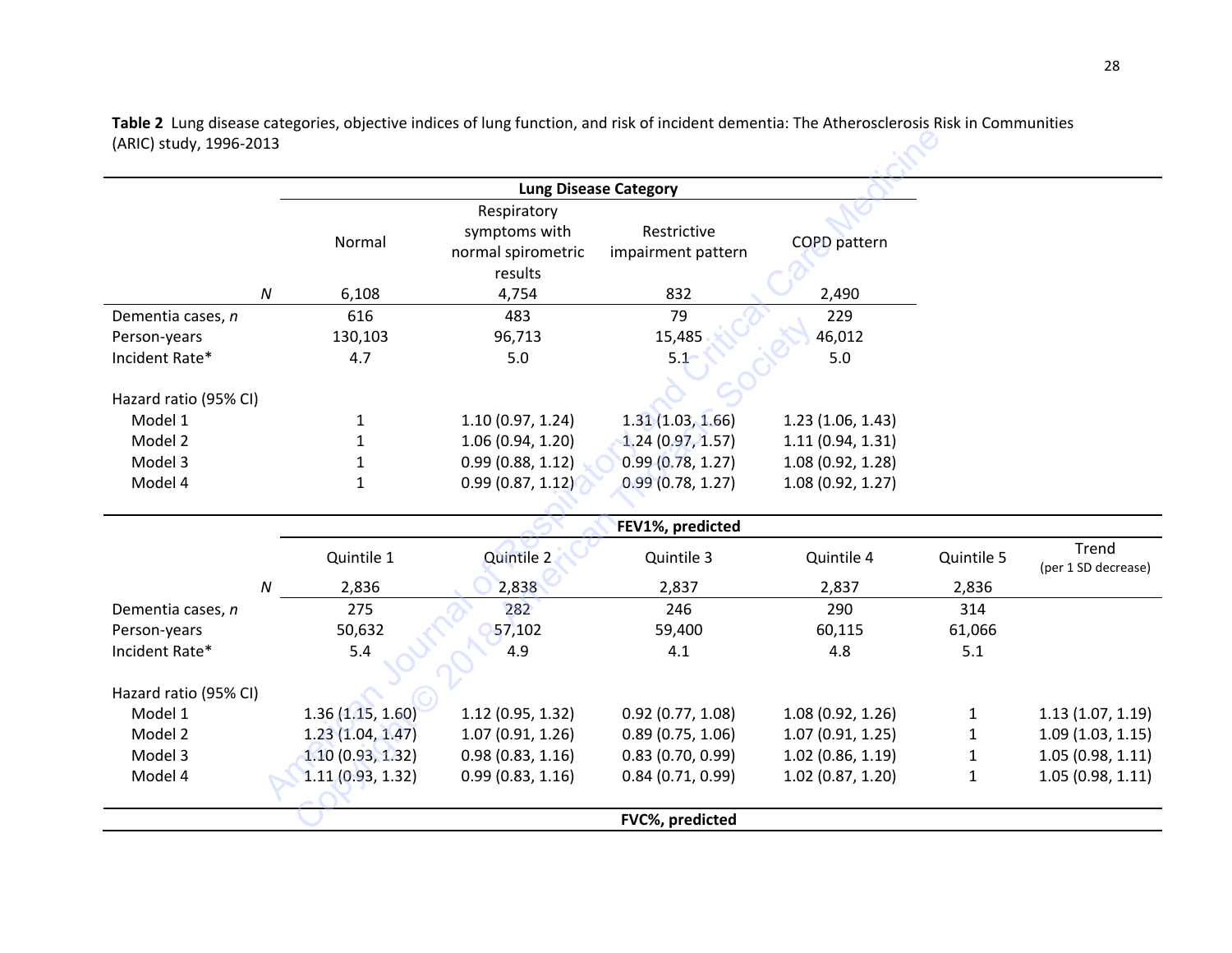**Table 2** Lung disease categories, objective indices of lung function, and risk of incident dementia: The Atherosclerosis Risk in Communities (ARIC) study, 1996-2013

| (ARIC) study, 1996-2013      |                           |                                                               |                                   |                     |              |                              |  |
|------------------------------|---------------------------|---------------------------------------------------------------|-----------------------------------|---------------------|--------------|------------------------------|--|
| <b>Lung Disease Category</b> |                           |                                                               |                                   |                     |              |                              |  |
|                              | Normal                    | Respiratory<br>symptoms with<br>normal spirometric<br>results | Restrictive<br>impairment pattern | <b>COPD</b> pattern |              |                              |  |
|                              | $\boldsymbol{N}$<br>6,108 | 4,754                                                         | 832                               | 2,490               |              |                              |  |
| Dementia cases, n            | 616                       | 483                                                           | 79                                | 229                 |              |                              |  |
| Person-years                 | 130,103                   | 96,713                                                        | 15,485                            | 46,012              |              |                              |  |
| Incident Rate*               | 4.7                       | 5.0                                                           | 5.1                               | 5.0                 |              |                              |  |
|                              |                           |                                                               |                                   |                     |              |                              |  |
| Hazard ratio (95% CI)        |                           |                                                               |                                   |                     |              |                              |  |
| Model 1                      | 1                         | 1.10(0.97, 1.24)                                              | 1.31(1.03, 1.66)                  | 1.23(1.06, 1.43)    |              |                              |  |
| Model 2                      | $\mathbf{1}$              | 1.06(0.94, 1.20)                                              | 1.24(0.97, 1.57)                  | 1.11(0.94, 1.31)    |              |                              |  |
| Model 3                      | $\mathbf{1}$              | 0.99(0.88, 1.12)                                              | 0.99(0.78, 1.27)                  | 1.08 (0.92, 1.28)   |              |                              |  |
| Model 4                      | $\mathbf{1}$              | 0.99(0.87, 1.12)                                              | 0.99(0.78, 1.27)                  | 1.08 (0.92, 1.27)   |              |                              |  |
|                              |                           |                                                               |                                   |                     |              |                              |  |
|                              |                           |                                                               | FEV1%, predicted                  |                     |              |                              |  |
|                              | Quintile 1                | Quintile 2                                                    | Quintile 3                        | Quintile 4          | Quintile 5   | Trend<br>(per 1 SD decrease) |  |
|                              | $\boldsymbol{N}$<br>2,836 | 2,838                                                         | 2,837                             | 2,837               | 2,836        |                              |  |
| Dementia cases, n            | 275                       | 282                                                           | 246                               | 290                 | 314          |                              |  |
| Person-years                 | 50,632                    | 57,102                                                        | 59,400                            | 60,115              | 61,066       |                              |  |
| Incident Rate*               | 5.4                       | 4.9                                                           | 4.1                               | 4.8                 | 5.1          |                              |  |
|                              |                           |                                                               |                                   |                     |              |                              |  |
| Hazard ratio (95% CI)        |                           |                                                               |                                   |                     |              |                              |  |
| Model 1                      | 1.36(1.15, 1.60)          | 1.12 (0.95, 1.32)                                             | $0.92$ (0.77, 1.08)               | 1.08(0.92, 1.26)    | $\mathbf{1}$ | 1.13(1.07, 1.19)             |  |
| Model 2                      | 1.23(1.04, 1.47)          | 1.07(0.91, 1.26)                                              | 0.89(0.75, 1.06)                  | 1.07(0.91, 1.25)    | $\mathbf{1}$ | 1.09(1.03, 1.15)             |  |
| Model 3                      | 1.10(0.93, 1.32)          | 0.98(0.83, 1.16)                                              | 0.83(0.70, 0.99)                  | 1.02(0.86, 1.19)    | 1            | 1.05(0.98, 1.11)             |  |
| Model 4                      | 1.11(0.93, 1.32)          | 0.99(0.83, 1.16)                                              | 0.84(0.71, 0.99)                  | $1.02$ (0.87, 1.20) | $\mathbf{1}$ | 1.05(0.98, 1.11)             |  |
|                              |                           |                                                               |                                   |                     |              |                              |  |
|                              |                           |                                                               | FVC%, predicted                   |                     |              |                              |  |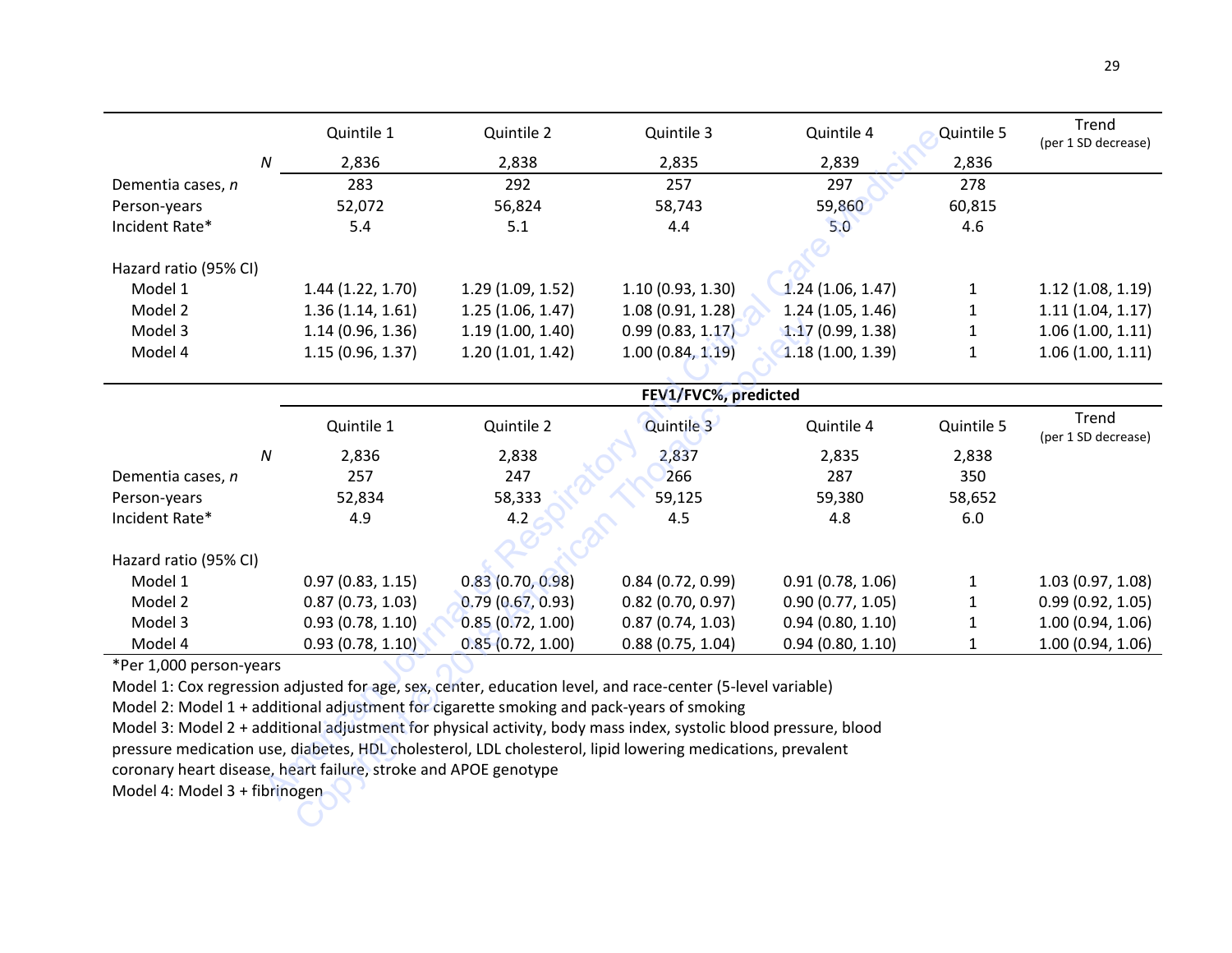|                       | Quintile 1       | Quintile 2       | Quintile 3        | Quintile 4       | Quintile 5 | Trend<br>(per 1 SD decrease) |
|-----------------------|------------------|------------------|-------------------|------------------|------------|------------------------------|
| Ν                     | 2,836            | 2,838            | 2,835             | 2,839            | 2,836      |                              |
| Dementia cases, n     | 283              | 292              | 257               | 297              | 278        |                              |
| Person-years          | 52,072           | 56,824           | 58,743            | 59,860           | 60,815     |                              |
| Incident Rate*        | 5.4              | 5.1              | 4.4               | 5.0              | 4.6        |                              |
|                       |                  |                  |                   |                  |            |                              |
| Hazard ratio (95% CI) |                  |                  |                   |                  |            |                              |
| Model 1               | 1.44(1.22, 1.70) | 1.29(1.09, 1.52) | 1.10(0.93, 1.30)  | 1.24(1.06, 1.47) |            | 1.12(1.08, 1.19)             |
| Model 2               | 1.36(1.14, 1.61) | 1.25(1.06, 1.47) | 1.08 (0.91, 1.28) | 1.24(1.05, 1.46) |            | 1.11(1.04, 1.17)             |
| Model 3               | 1.14(0.96, 1.36) | 1.19(1.00, 1.40) | 0.99(0.83, 1.17)  | 1.17(0.99, 1.38) |            | 1.06(1.00, 1.11)             |
| Model 4               | 1.15(0.96, 1.37) | 1.20(1.01, 1.42) | 1.00(0.84, 1.19)  | 1.18(1.00, 1.39) |            | 1.06(1.00, 1.11)             |
|                       |                  |                  |                   |                  |            |                              |

|                                                                                                                 |   | Quintile 1       | Quintile 2       | Quintile 3           | Quintile 4       | Quintile 5   | ,,,,,,<br>(per 1 SD decrease) |
|-----------------------------------------------------------------------------------------------------------------|---|------------------|------------------|----------------------|------------------|--------------|-------------------------------|
|                                                                                                                 | N | 2,836            | 2,838            | 2,835                | 2,839            | 2,836        |                               |
| Dementia cases, n                                                                                               |   | 283              | 292              | 257                  | 297              | 278          |                               |
| Person-years                                                                                                    |   | 52,072           | 56,824           | 58,743               | 59,860           | 60,815       |                               |
| Incident Rate*                                                                                                  |   | 5.4              | 5.1              | 4.4                  | 5.0              | 4.6          |                               |
|                                                                                                                 |   |                  |                  |                      |                  |              |                               |
| Hazard ratio (95% CI)                                                                                           |   |                  |                  |                      |                  |              |                               |
| Model 1                                                                                                         |   | 1.44(1.22, 1.70) | 1.29(1.09, 1.52) | 1.10(0.93, 1.30)     | 1.24(1.06, 1.47) | $\mathbf{1}$ | 1.12(1.08, 1.19)              |
| Model 2                                                                                                         |   | 1.36(1.14, 1.61) | 1.25(1.06, 1.47) | 1.08(0.91, 1.28)     | 1.24(1.05, 1.46) | 1            | 1.11(1.04, 1.17)              |
| Model 3                                                                                                         |   | 1.14(0.96, 1.36) | 1.19(1.00, 1.40) | 0.99(0.83, 1.17)     | 1.17(0.99, 1.38) | 1            | 1.06(1.00, 1.11)              |
| Model 4                                                                                                         |   | 1.15(0.96, 1.37) | 1.20(1.01, 1.42) | 1.00(0.84, 1.19)     | 1.18(1.00, 1.39) | $\mathbf{1}$ | 1.06(1.00, 1.11)              |
|                                                                                                                 |   |                  |                  |                      |                  |              |                               |
|                                                                                                                 |   |                  |                  | FEV1/FVC%, predicted |                  |              |                               |
|                                                                                                                 |   | Quintile 1       | Quintile 2       | Quintile 3           | Quintile 4       | Quintile 5   | Trend<br>(per 1 SD decrease)  |
|                                                                                                                 | N | 2,836            | 2,838            | 2,837                | 2,835            | 2,838        |                               |
| Dementia cases, n                                                                                               |   | 257              | 247              | 266                  | 287              | 350          |                               |
| Person-years                                                                                                    |   | 52,834           | 58,333           | 59,125               | 59,380           | 58,652       |                               |
| Incident Rate*                                                                                                  |   | 4.9              | 4.2              | 4.5                  | 4.8              | 6.0          |                               |
|                                                                                                                 |   |                  |                  |                      |                  |              |                               |
| Hazard ratio (95% CI)                                                                                           |   |                  |                  |                      |                  |              |                               |
| Model 1                                                                                                         |   | 0.97(0.83, 1.15) | 0.83(0.70, 0.98) | 0.84(0.72, 0.99)     | 0.91(0.78, 1.06) | $\mathbf{1}$ | 1.03(0.97, 1.08)              |
| Model 2                                                                                                         |   | 0.87(0.73, 1.03) | 0.79(0.67, 0.93) | $0.82$ (0.70, 0.97)  | 0.90(0.77, 1.05) | 1            | 0.99(0.92, 1.05)              |
| Model 3                                                                                                         |   | 0.93(0.78, 1.10) | 0.85(0.72, 1.00) | 0.87(0.74, 1.03)     | 0.94(0.80, 1.10) | 1            | 1.00(0.94, 1.06)              |
| Model 4                                                                                                         |   | 0.93(0.78, 1.10) | 0.85(0.72, 1.00) | 0.88(0.75, 1.04)     | 0.94(0.80, 1.10) | $\mathbf{1}$ | 1.00(0.94, 1.06)              |
| *Per 1,000 person-years                                                                                         |   |                  |                  |                      |                  |              |                               |
| Model 1: Cox regression adjusted for age, sex, center, education level, and race-center (5-level variable)      |   |                  |                  |                      |                  |              |                               |
| Model 2: Model 1 + additional adjustment for cigarette smoking and pack-years of smoking                        |   |                  |                  |                      |                  |              |                               |
| Model 3: Model 2 + additional adjustment for physical activity, body mass index, systolic blood pressure, blood |   |                  |                  |                      |                  |              |                               |
| pressure medication use, diabetes, HDL cholesterol, LDL cholesterol, lipid lowering medications, prevalent      |   |                  |                  |                      |                  |              |                               |
| coronary heart disease, heart failure, stroke and APOE genotype                                                 |   |                  |                  |                      |                  |              |                               |
| Model 4: Model 3 + fibrinogen                                                                                   |   |                  |                  |                      |                  |              |                               |
|                                                                                                                 |   |                  |                  |                      |                  |              |                               |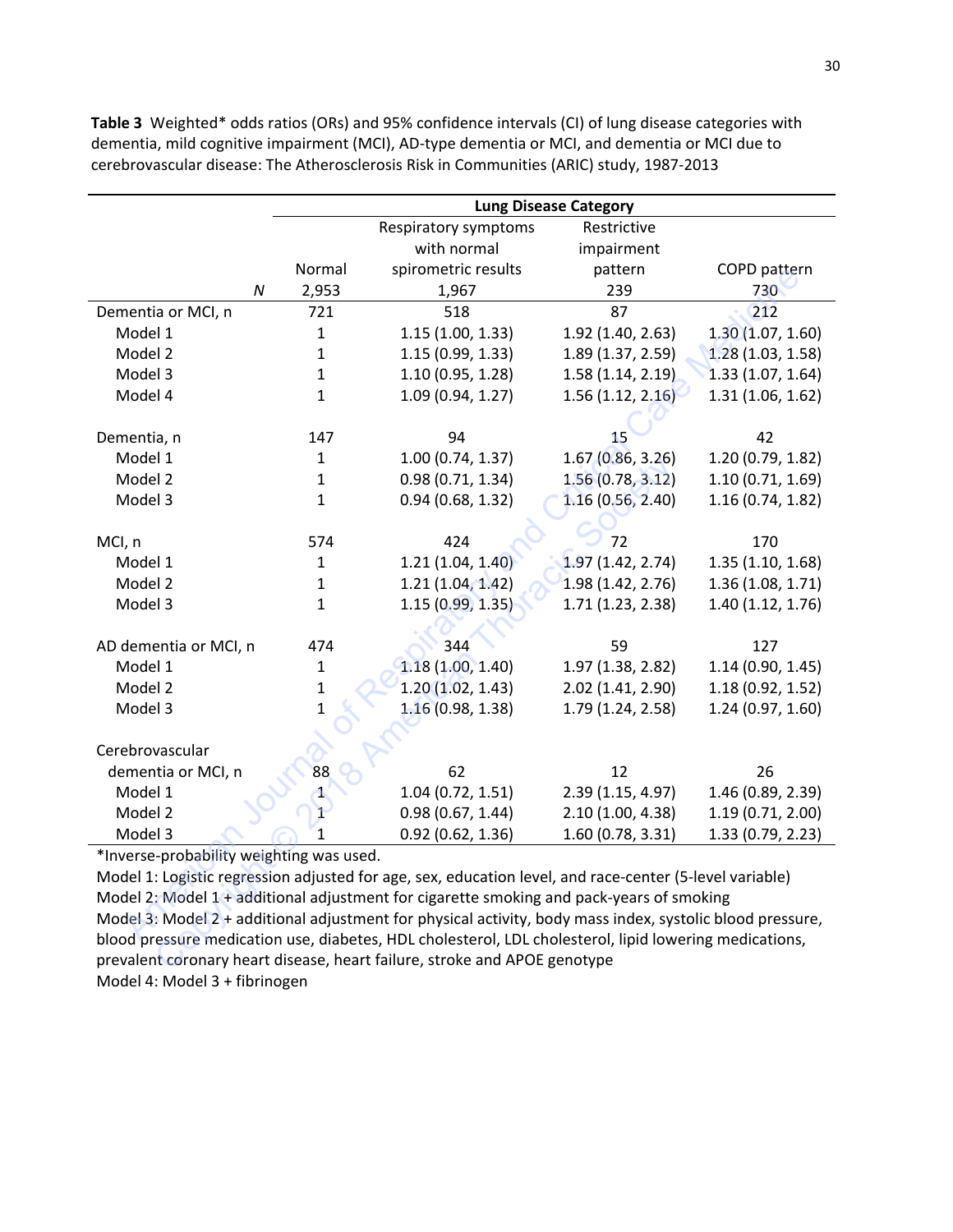|                                                                                                           |                           | <b>Lung Disease Category</b>                                                                           |                   |                   |  |  |
|-----------------------------------------------------------------------------------------------------------|---------------------------|--------------------------------------------------------------------------------------------------------|-------------------|-------------------|--|--|
|                                                                                                           |                           | <b>Respiratory symptoms</b>                                                                            | Restrictive       |                   |  |  |
|                                                                                                           |                           | with normal                                                                                            | impairment        |                   |  |  |
|                                                                                                           | Normal                    | spirometric results                                                                                    | pattern           | COPD pattern      |  |  |
|                                                                                                           | $\boldsymbol{N}$<br>2,953 | 1,967                                                                                                  | 239               | 730               |  |  |
| Dementia or MCI, n                                                                                        | 721                       | 518                                                                                                    | 87                | 212               |  |  |
| Model 1                                                                                                   | $\mathbf 1$               | 1.15(1.00, 1.33)                                                                                       | 1.92 (1.40, 2.63) | 1.30(1.07, 1.60)  |  |  |
| Model 2                                                                                                   | $\mathbf 1$               | 1.15 (0.99, 1.33)                                                                                      | 1.89 (1.37, 2.59) | 1.28(1.03, 1.58)  |  |  |
| Model 3                                                                                                   | $\mathbf{1}$              | 1.10 (0.95, 1.28)                                                                                      | 1.58(1.14, 2.19)  | 1.33 (1.07, 1.64) |  |  |
| Model 4                                                                                                   | $\mathbf{1}$              | 1.09 (0.94, 1.27)                                                                                      | 1.56(1.12, 2.16)  | 1.31(1.06, 1.62)  |  |  |
|                                                                                                           |                           |                                                                                                        |                   |                   |  |  |
| Dementia, n                                                                                               | 147                       | 94                                                                                                     | 15                | 42                |  |  |
| Model 1                                                                                                   | $\mathbf{1}$              | 1.00(0.74, 1.37)                                                                                       | 1.67(0.86, 3.26)  | 1.20 (0.79, 1.82) |  |  |
| Model 2                                                                                                   | $\mathbf{1}$              | 0.98(0.71, 1.34)                                                                                       | 1.56(0.78, 3.12)  | 1.10(0.71, 1.69)  |  |  |
| Model 3                                                                                                   | $\mathbf{1}$              | 0.94(0.68, 1.32)                                                                                       | 1.16(0.56, 2.40)  | 1.16(0.74, 1.82)  |  |  |
|                                                                                                           |                           |                                                                                                        |                   |                   |  |  |
| MCI, n                                                                                                    | 574                       | 424                                                                                                    | 72                | 170               |  |  |
| Model 1                                                                                                   | $\mathbf 1$               | 1.21(1.04, 1.40)                                                                                       | 1.97(1.42, 2.74)  | 1.35(1.10, 1.68)  |  |  |
| Model 2                                                                                                   | 1                         | 1.21 (1.04, 1.42)                                                                                      | 1.98(1.42, 2.76)  | 1.36(1.08, 1.71)  |  |  |
| Model 3                                                                                                   | $\mathbf{1}$              | 1.15(0.99, 1.35)                                                                                       | 1.71(1.23, 2.38)  | 1.40 (1.12, 1.76) |  |  |
|                                                                                                           |                           |                                                                                                        |                   |                   |  |  |
| AD dementia or MCI, n                                                                                     | 474                       | 344                                                                                                    | 59                | 127               |  |  |
| Model 1                                                                                                   | 1                         | 1.18(1.00, 1.40)                                                                                       | 1.97 (1.38, 2.82) | 1.14(0.90, 1.45)  |  |  |
| Model 2                                                                                                   | $\mathbf 1$               | 1.20(1.02, 1.43)                                                                                       | 2.02 (1.41, 2.90) | 1.18(0.92, 1.52)  |  |  |
| Model 3                                                                                                   | $\overline{1}$            | 1.16(0.98, 1.38)                                                                                       | 1.79 (1.24, 2.58) | 1.24(0.97, 1.60)  |  |  |
|                                                                                                           |                           |                                                                                                        |                   |                   |  |  |
| Cerebrovascular                                                                                           |                           |                                                                                                        |                   |                   |  |  |
| dementia or MCI, n                                                                                        | 88                        | 62                                                                                                     | 12                | 26                |  |  |
| Model 1                                                                                                   | 4                         | 1.04 (0.72, 1.51)                                                                                      | 2.39 (1.15, 4.97) | 1.46 (0.89, 2.39) |  |  |
| Model 2                                                                                                   | $\mathbf{1}$              | 0.98(0.67, 1.44)                                                                                       | 2.10 (1.00, 4.38) | 1.19(0.71, 2.00)  |  |  |
| Model 3                                                                                                   | 1                         | 0.92(0.62, 1.36)                                                                                       | 1.60(0.78, 3.31)  | 1.33 (0.79, 2.23) |  |  |
| *Inverse-probability weighting was used.                                                                  |                           |                                                                                                        |                   |                   |  |  |
| Model 1: Logistic regression adjusted for age, sex, education level, and race-center (5-level variable)   |                           |                                                                                                        |                   |                   |  |  |
| Model 2: Model 1 + additional adjustment for cigarette smoking and pack-years of smoking                  |                           |                                                                                                        |                   |                   |  |  |
| Model 3: Model 2 + additional adjustment for physical activity, body mass index, systolic blood pressure, |                           |                                                                                                        |                   |                   |  |  |
|                                                                                                           |                           | blood pressure medication use, diabetes, HDL cholesterol, LDL cholesterol, lipid lowering medications, |                   |                   |  |  |
|                                                                                                           |                           | prevalent coronary heart disease, heart failure, stroke and APOE genotype                              |                   |                   |  |  |

**Table 3** Weighted\* odds ratios (ORs) and 95% confidence intervals (CI) of lung disease categories with dementia, mild cognitive impairment (MCI), AD-type dementia or MCI, and dementia or MCI due to cerebrovascular disease: The Atherosclerosis Risk in Communities (ARIC) study, 1987-2013

Model 1: Logistic regression adjusted for age, sex, education level, and race-center (5-level variable) Model 2: Model 1 + additional adjustment for cigarette smoking and pack-years of smoking Model 3: Model 2 + additional adjustment for physical activity, body mass index, systolic blood pressure, blood pressure medication use, diabetes, HDL cholesterol, LDL cholesterol, lipid lowering medications, prevalent coronary heart disease, heart failure, stroke and APOE genotype Model 4: Model 3 + fibrinogen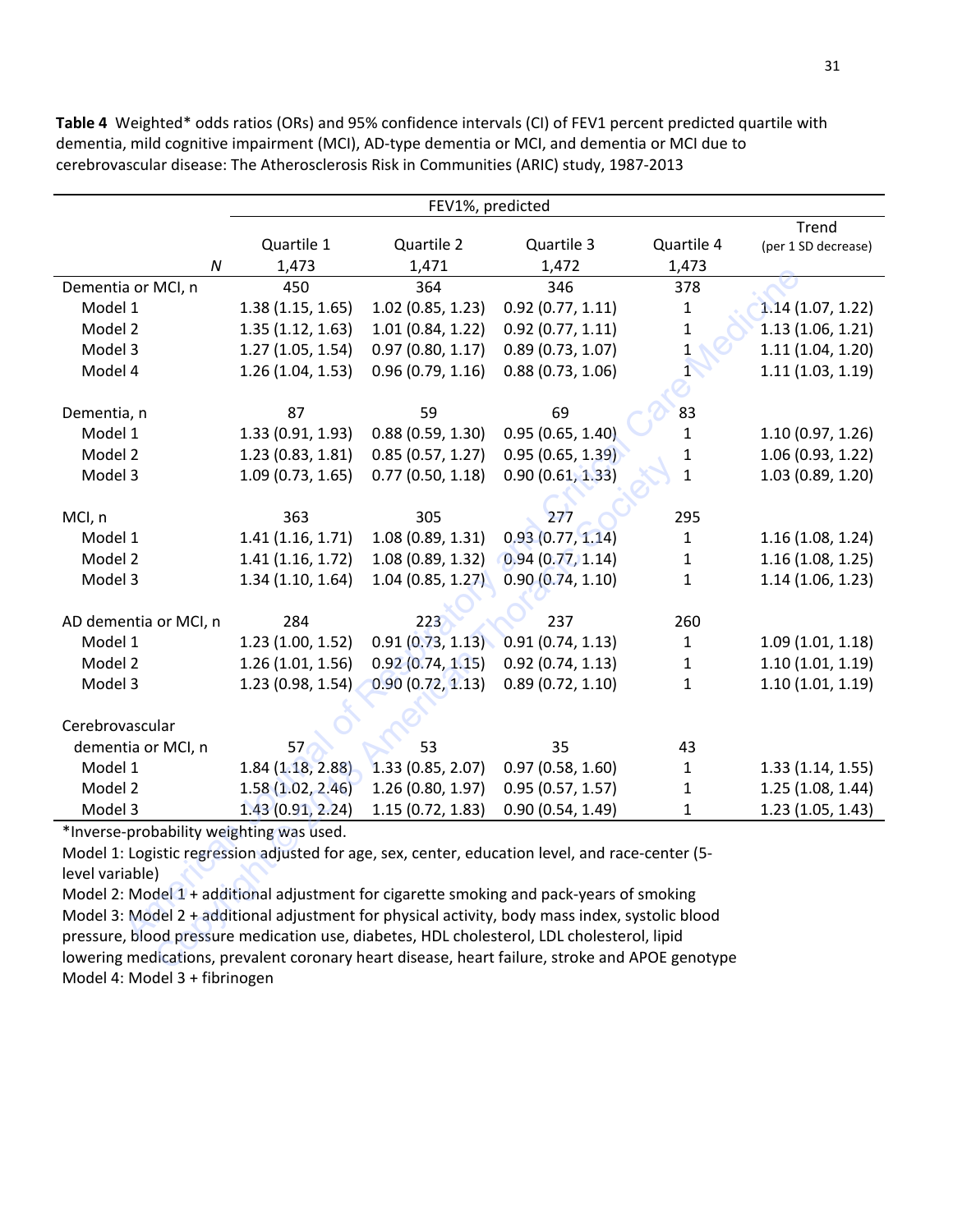FEV1%, predicted Quartile 1 Quartile 2 Quartile 3 Quartile 4 Trend (per 1 SD decrease) *N* 1,473 1,471 1,472 1,473 Dementia or MCI, n 450 364 346 378 Model 1 1.38 (1.15, 1.65) 1.02 (0.85, 1.23) 0.92 (0.77, 1.11) 1 1.14 (1.07, 1.22) Model 2 1.35 (1.12, 1.63) 1.01 (0.84, 1.22) 0.92 (0.77, 1.11) 1 1.13 (1.06, 1.21) Model 3 1.27 (1.05, 1.54) 0.97 (0.80, 1.17) 0.89 (0.73, 1.07) 1 1.11 (1.04, 1.20) Model 4 1.26 (1.04, 1.53) 0.96 (0.79, 1.16) 0.88 (0.73, 1.06) 1 1.11 (1.03, 1.19) Dementia, n 87 83 83 Model 1 1.33 (0.91, 1.93) 0.88 (0.59, 1.30) 0.95 (0.65, 1.40) 1 1.10 (0.97, 1.26) Model 2 1.23 (0.83, 1.81) 0.85 (0.57, 1.27) 0.95 (0.65, 1.39) 1 1.06 (0.93, 1.22) Model 3 1.09 (0.73, 1.65) 0.77 (0.50, 1.18) 0.90 (0.61, 1.33) 1 1.03 (0.89, 1.20) MCI, n 363 305 277 295 Model 1 1.41 (1.16, 1.71) 1.08 (0.89, 1.31) 0.93 (0.77, 1.14) 1 1.16 (1.08, 1.24) Model 2 1.41 (1.16, 1.72) 1.08 (0.89, 1.32) 0.94 (0.77, 1.14) 1 1.16 (1.08, 1.25) Model 3 1.34 (1.10, 1.64) 1.04 (0.85, 1.27) 0.90 (0.74, 1.10) 1 1.14 (1.06, 1.23) AD dementia or MCI, n 284 223 237 260 Model 1 1.23 (1.00, 1.52) 0.91 (0.73, 1.13) 0.91 (0.74, 1.13) 1 1.09 (1.01, 1.18) Model 2 1.26 (1.01, 1.56) 0.92 (0.74, 1.15) 0.92 (0.74, 1.13) 1 1.10 (1.01, 1.19) Model 3 1.23 (0.98, 1.54) 0.90 (0.72, 1.13) 0.89 (0.72, 1.10) 1 1.10 (1.01, 1.19) Cerebrovascular dementia or MCI, n  $57 \rightarrow 53$   $35$   $43$ Model 1 1.84 (1.18, 2.88) 1.33 (0.85, 2.07) 0.97 (0.58, 1.60) 1 1.33 (1.14, 1.55) Model 2 1.58 (1.02, 2.46) 1.26 (0.80, 1.97) 0.95 (0.57, 1.57) 1 1.25 (1.08, 1.44) Model 3 1.43 (0.91, 2.24) 1.15 (0.72, 1.83) 0.90 (0.54, 1.49) 1 1.23 (1.05, 1.43) **a.or MCl, n**<br>  $\frac{4.79}{4.36}(1.85, 1.02)$  (0.85, 1.23) 0.92 (0.77, 1.11) 1 1 1.14 (1.<br>
11 1 1.38 (1.12, 1.65) 1.02 (0.85, 1.23) 0.92 (0.77, 1.11) 1 1 1.14 (1.<br>
12 1.27 (1.05, 1.54) 0.97 (0.80, 1.17) 0.89 (0.73, 1.07) 1<br>
1 1.09 (0.73, 1.65) 0.77 (0.50, 1.18) 0.90 (0.61, 1.33)<br>1.09 (0.73, 1.65) 0.77 (0.50, 1.18) 0.90 (0.61, 1.33)<br>363 305<br>1.41 (1.16, 1.71) 1.08 (0.89, 1.31) 0.93 (0.77, 1.14)<br>1.41 (1.16, 1.72) 1.08 (0.89, 1.32) 0.94 (0.77, 1.1

**Table 4** Weighted\* odds ratios (ORs) and 95% confidence intervals (CI) of FEV1 percent predicted quartile with dementia, mild cognitive impairment (MCI), AD-type dementia or MCI, and dementia or MCI due to cerebrovascular disease: The Atherosclerosis Risk in Communities (ARIC) study, 1987-2013

\*Inverse-probability weighting was used.

Model 1: Logistic regression adjusted for age, sex, center, education level, and race-center (5 level variable)

Model 2: Model 1 + additional adjustment for cigarette smoking and pack-years of smoking Model 3: Model 2 + additional adjustment for physical activity, body mass index, systolic blood pressure, blood pressure medication use, diabetes, HDL cholesterol, LDL cholesterol, lipid lowering medications, prevalent coronary heart disease, heart failure, stroke and APOE genotype Model 4: Model 3 + fibrinogen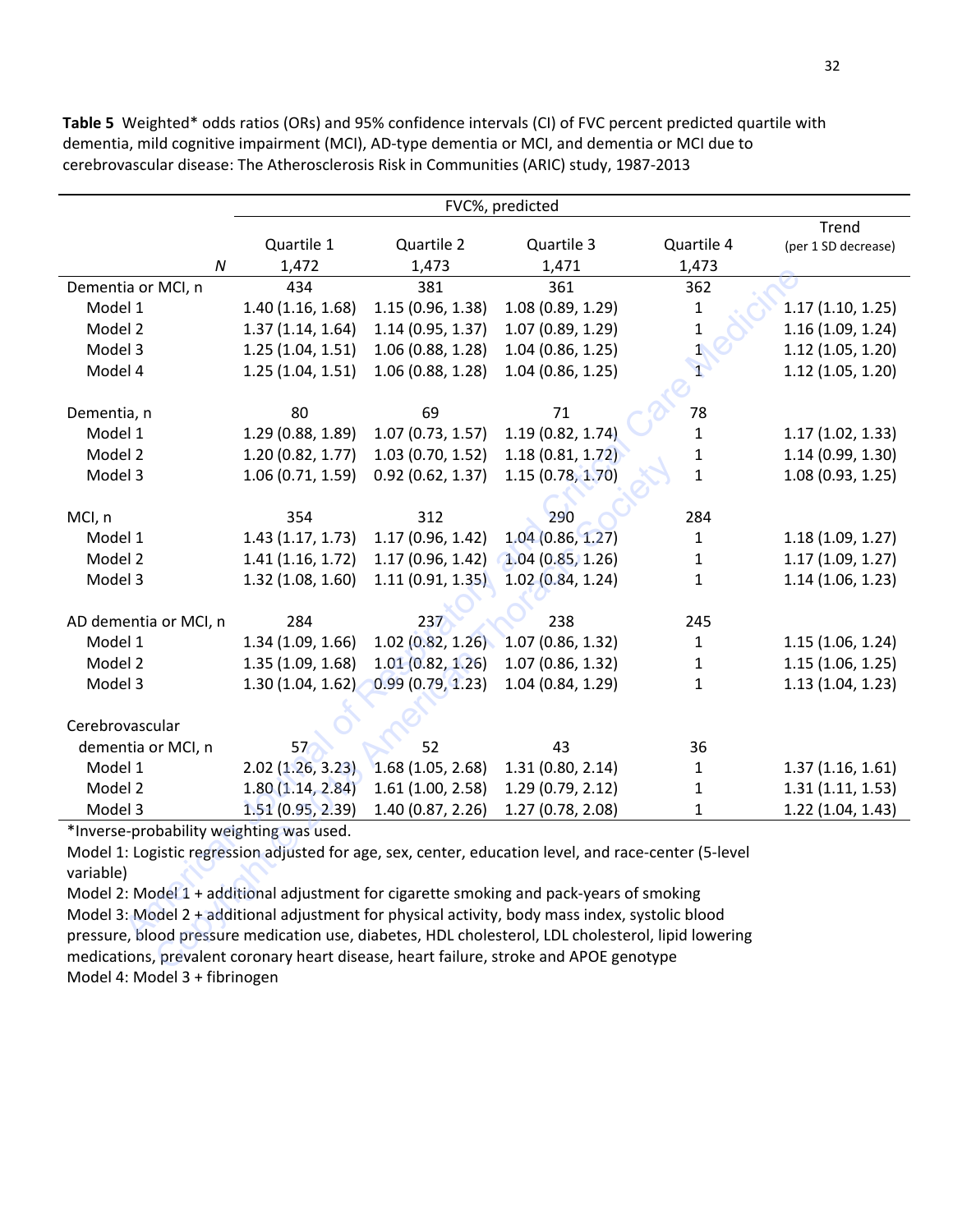FVC%, predicted Quartile 1 Quartile 2 Quartile 3 Quartile 4 Trend (per 1 SD decrease) *N* 1,472 1,473 1,471 1,473 Dementia or MCI, n and 434 381 361 362 Model 1 1.40 (1.16, 1.68) 1.15 (0.96, 1.38) 1.08 (0.89, 1.29) 1 1.17 (1.10, 1.25) Model 2 1.37 (1.14, 1.64) 1.14 (0.95, 1.37) 1.07 (0.89, 1.29) 1 1.16 (1.09, 1.24) Model 3 1.25 (1.04, 1.51) 1.06 (0.88, 1.28) 1.04 (0.86, 1.25) 1.1 (1.05, 1.20) Model 4 1.25 (1.04, 1.51) 1.06 (0.88, 1.28) 1.04 (0.86, 1.25) 1.1 1.12 (1.05, 1.20) Dementia, n 80 80 69 71  $\sim$  78 Model 1 1.29 (0.88, 1.89) 1.07 (0.73, 1.57) 1.19 (0.82, 1.74) 1 1.17 (1.02, 1.33) Model 2 1.20 (0.82, 1.77) 1.03 (0.70, 1.52) 1.18 (0.81, 1.72) 1 1.14 (0.99, 1.30) Model 3 1.06 (0.71, 1.59) 0.92 (0.62, 1.37) 1.15 (0.78, 1.70) 1 1.08 (0.93, 1.25) MCI, n 354 312 290 284 Model 1 1.43 (1.17, 1.73) 1.17 (0.96, 1.42) 1.04 (0.86, 1.27) 1 1.18 (1.09, 1.27) Model 2 1.41 (1.16, 1.72) 1.17 (0.96, 1.42) 1.04 (0.85, 1.26) 1 1.17 (1.09, 1.27) Model 3 1.32 (1.08, 1.60) 1.11 (0.91, 1.35) 1.02 (0.84, 1.24) 1 1.14 (1.06, 1.23) AD dementia or MCI, n 284 237 238 245 Model 1 1.34 (1.09, 1.66) 1.02 (0.82, 1.26) 1.07 (0.86, 1.32) 1 1.15 (1.06, 1.24) Model 2 1.35 (1.09, 1.68) 1.01 (0.82, 1.26) 1.07 (0.86, 1.32) 1 1.15 (1.06, 1.25) Model 3 1.30 (1.04, 1.62) 0.99 (0.79, 1.23) 1.04 (0.84, 1.29) 1 1.13 (1.04, 1.23) Cerebrovascular dementia or MCI, n  $57\frac{1}{2}$  52 43 36 Model 1 2.02 (1.26, 3.23) 1.68 (1.05, 2.68) 1.31 (0.80, 2.14) 1 1.37 (1.16, 1.61) Model 2 1.80 (1.14, 2.84) 1.61 (1.00, 2.58) 1.29 (0.79, 2.12) 1 1.31 (1.11, 1.53) Model 3 1.51 (0.95, 2.39) 1.40 (0.87, 2.26) 1.27 (0.78, 2.08) 1 1.22 (1.04, 1.43) American Journal of Respiratory and Critical Care Medicine 1.06 (0.71, 1.59) 0.92 (0.62, 1.37) 1.15 (0.78, 1.70)<br>1.06 (0.71, 1.59) 0.92 (0.62, 1.37) 1.15 (0.78, 1.70)<br>1.06 (0.71, 1.59) 0.92 (0.62, 1.37) 1.15 (0.78, 1.70)<br>1.43 (1.16, 1.72) 1.17 (0.96, 1.42) 1.04 (0.85, 1.26)<br>1.32

**Table 5** Weighted\* odds ratios (ORs) and 95% confidence intervals (CI) of FVC percent predicted quartile with dementia, mild cognitive impairment (MCI), AD-type dementia or MCI, and dementia or MCI due to cerebrovascular disease: The Atherosclerosis Risk in Communities (ARIC) study, 1987-2013

\*Inverse-probability weighting was used.

Model 1: Logistic regression adjusted for age, sex, center, education level, and race-center (5-level variable)

Model 2: Model 1 + additional adjustment for cigarette smoking and pack-years of smoking Model 3: Model 2 + additional adjustment for physical activity, body mass index, systolic blood pressure, blood pressure medication use, diabetes, HDL cholesterol, LDL cholesterol, lipid lowering medications, prevalent coronary heart disease, heart failure, stroke and APOE genotype Model 4: Model 3 + fibrinogen